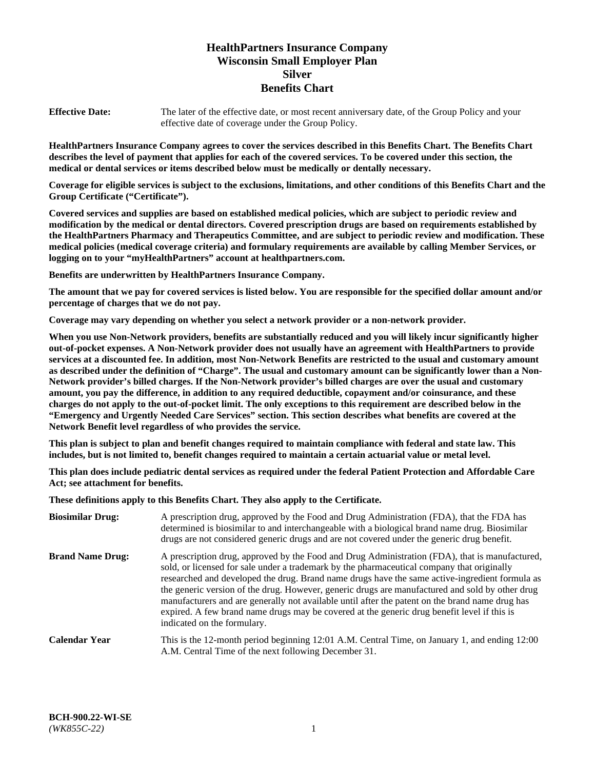# **HealthPartners Insurance Company Wisconsin Small Employer Plan Silver Benefits Chart**

**Effective Date:** The later of the effective date, or most recent anniversary date, of the Group Policy and your effective date of coverage under the Group Policy.

**HealthPartners Insurance Company agrees to cover the services described in this Benefits Chart. The Benefits Chart describes the level of payment that applies for each of the covered services. To be covered under this section, the medical or dental services or items described below must be medically or dentally necessary.**

**Coverage for eligible services is subject to the exclusions, limitations, and other conditions of this Benefits Chart and the Group Certificate ("Certificate").**

**Covered services and supplies are based on established medical policies, which are subject to periodic review and modification by the medical or dental directors. Covered prescription drugs are based on requirements established by the HealthPartners Pharmacy and Therapeutics Committee, and are subject to periodic review and modification. These medical policies (medical coverage criteria) and formulary requirements are available by calling Member Services, or logging on to your "myHealthPartners" account at [healthpartners.com.](https://www.healthpartners.com/hp/index.html)** 

**Benefits are underwritten by HealthPartners Insurance Company.**

**The amount that we pay for covered services is listed below. You are responsible for the specified dollar amount and/or percentage of charges that we do not pay.**

**Coverage may vary depending on whether you select a network provider or a non-network provider.**

**When you use Non-Network providers, benefits are substantially reduced and you will likely incur significantly higher out-of-pocket expenses. A Non-Network provider does not usually have an agreement with HealthPartners to provide services at a discounted fee. In addition, most Non-Network Benefits are restricted to the usual and customary amount as described under the definition of "Charge". The usual and customary amount can be significantly lower than a Non-Network provider's billed charges. If the Non-Network provider's billed charges are over the usual and customary amount, you pay the difference, in addition to any required deductible, copayment and/or coinsurance, and these charges do not apply to the out-of-pocket limit. The only exceptions to this requirement are described below in the "Emergency and Urgently Needed Care Services" section. This section describes what benefits are covered at the Network Benefit level regardless of who provides the service.**

**This plan is subject to plan and benefit changes required to maintain compliance with federal and state law. This includes, but is not limited to, benefit changes required to maintain a certain actuarial value or metal level.**

**This plan does include pediatric dental services as required under the federal Patient Protection and Affordable Care Act; see attachment for benefits.**

**These definitions apply to this Benefits Chart. They also apply to the Certificate.**

| <b>Biosimilar Drug:</b> | A prescription drug, approved by the Food and Drug Administration (FDA), that the FDA has<br>determined is biosimilar to and interchangeable with a biological brand name drug. Biosimilar<br>drugs are not considered generic drugs and are not covered under the generic drug benefit.                                                                                                                                                                                                                                                                                                                                           |
|-------------------------|------------------------------------------------------------------------------------------------------------------------------------------------------------------------------------------------------------------------------------------------------------------------------------------------------------------------------------------------------------------------------------------------------------------------------------------------------------------------------------------------------------------------------------------------------------------------------------------------------------------------------------|
| <b>Brand Name Drug:</b> | A prescription drug, approved by the Food and Drug Administration (FDA), that is manufactured,<br>sold, or licensed for sale under a trademark by the pharmaceutical company that originally<br>researched and developed the drug. Brand name drugs have the same active-ingredient formula as<br>the generic version of the drug. However, generic drugs are manufactured and sold by other drug<br>manufacturers and are generally not available until after the patent on the brand name drug has<br>expired. A few brand name drugs may be covered at the generic drug benefit level if this is<br>indicated on the formulary. |
| <b>Calendar Year</b>    | This is the 12-month period beginning 12:01 A.M. Central Time, on January 1, and ending 12:00<br>A.M. Central Time of the next following December 31.                                                                                                                                                                                                                                                                                                                                                                                                                                                                              |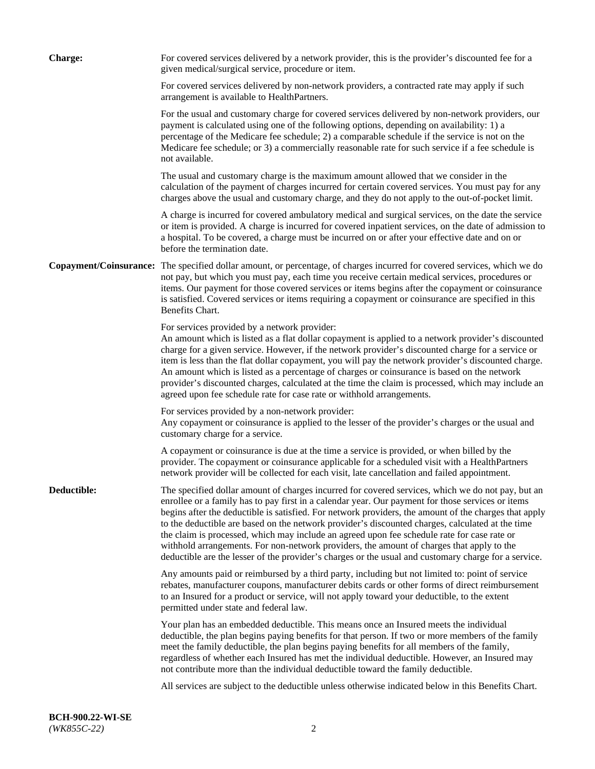| <b>Charge:</b> | For covered services delivered by a network provider, this is the provider's discounted fee for a<br>given medical/surgical service, procedure or item.                                                                                                                                                                                                                                                                                                                                                                                                                                                                                                                                                                 |
|----------------|-------------------------------------------------------------------------------------------------------------------------------------------------------------------------------------------------------------------------------------------------------------------------------------------------------------------------------------------------------------------------------------------------------------------------------------------------------------------------------------------------------------------------------------------------------------------------------------------------------------------------------------------------------------------------------------------------------------------------|
|                | For covered services delivered by non-network providers, a contracted rate may apply if such<br>arrangement is available to HealthPartners.                                                                                                                                                                                                                                                                                                                                                                                                                                                                                                                                                                             |
|                | For the usual and customary charge for covered services delivered by non-network providers, our<br>payment is calculated using one of the following options, depending on availability: 1) a<br>percentage of the Medicare fee schedule; 2) a comparable schedule if the service is not on the<br>Medicare fee schedule; or 3) a commercially reasonable rate for such service if a fee schedule is<br>not available.                                                                                                                                                                                                                                                                                                   |
|                | The usual and customary charge is the maximum amount allowed that we consider in the<br>calculation of the payment of charges incurred for certain covered services. You must pay for any<br>charges above the usual and customary charge, and they do not apply to the out-of-pocket limit.                                                                                                                                                                                                                                                                                                                                                                                                                            |
|                | A charge is incurred for covered ambulatory medical and surgical services, on the date the service<br>or item is provided. A charge is incurred for covered inpatient services, on the date of admission to<br>a hospital. To be covered, a charge must be incurred on or after your effective date and on or<br>before the termination date.                                                                                                                                                                                                                                                                                                                                                                           |
|                | Copayment/Coinsurance: The specified dollar amount, or percentage, of charges incurred for covered services, which we do<br>not pay, but which you must pay, each time you receive certain medical services, procedures or<br>items. Our payment for those covered services or items begins after the copayment or coinsurance<br>is satisfied. Covered services or items requiring a copayment or coinsurance are specified in this<br>Benefits Chart.                                                                                                                                                                                                                                                                 |
|                | For services provided by a network provider:<br>An amount which is listed as a flat dollar copayment is applied to a network provider's discounted<br>charge for a given service. However, if the network provider's discounted charge for a service or<br>item is less than the flat dollar copayment, you will pay the network provider's discounted charge.<br>An amount which is listed as a percentage of charges or coinsurance is based on the network<br>provider's discounted charges, calculated at the time the claim is processed, which may include an<br>agreed upon fee schedule rate for case rate or withhold arrangements.                                                                            |
|                | For services provided by a non-network provider:<br>Any copayment or coinsurance is applied to the lesser of the provider's charges or the usual and<br>customary charge for a service.                                                                                                                                                                                                                                                                                                                                                                                                                                                                                                                                 |
|                | A copayment or coinsurance is due at the time a service is provided, or when billed by the<br>provider. The copayment or coinsurance applicable for a scheduled visit with a HealthPartners<br>network provider will be collected for each visit, late cancellation and failed appointment.                                                                                                                                                                                                                                                                                                                                                                                                                             |
| Deductible:    | The specified dollar amount of charges incurred for covered services, which we do not pay, but an<br>enrollee or a family has to pay first in a calendar year. Our payment for those services or items<br>begins after the deductible is satisfied. For network providers, the amount of the charges that apply<br>to the deductible are based on the network provider's discounted charges, calculated at the time<br>the claim is processed, which may include an agreed upon fee schedule rate for case rate or<br>withhold arrangements. For non-network providers, the amount of charges that apply to the<br>deductible are the lesser of the provider's charges or the usual and customary charge for a service. |
|                | Any amounts paid or reimbursed by a third party, including but not limited to: point of service<br>rebates, manufacturer coupons, manufacturer debits cards or other forms of direct reimbursement<br>to an Insured for a product or service, will not apply toward your deductible, to the extent<br>permitted under state and federal law.                                                                                                                                                                                                                                                                                                                                                                            |
|                | Your plan has an embedded deductible. This means once an Insured meets the individual<br>deductible, the plan begins paying benefits for that person. If two or more members of the family<br>meet the family deductible, the plan begins paying benefits for all members of the family,<br>regardless of whether each Insured has met the individual deductible. However, an Insured may<br>not contribute more than the individual deductible toward the family deductible.                                                                                                                                                                                                                                           |
|                | All services are subject to the deductible unless otherwise indicated below in this Benefits Chart.                                                                                                                                                                                                                                                                                                                                                                                                                                                                                                                                                                                                                     |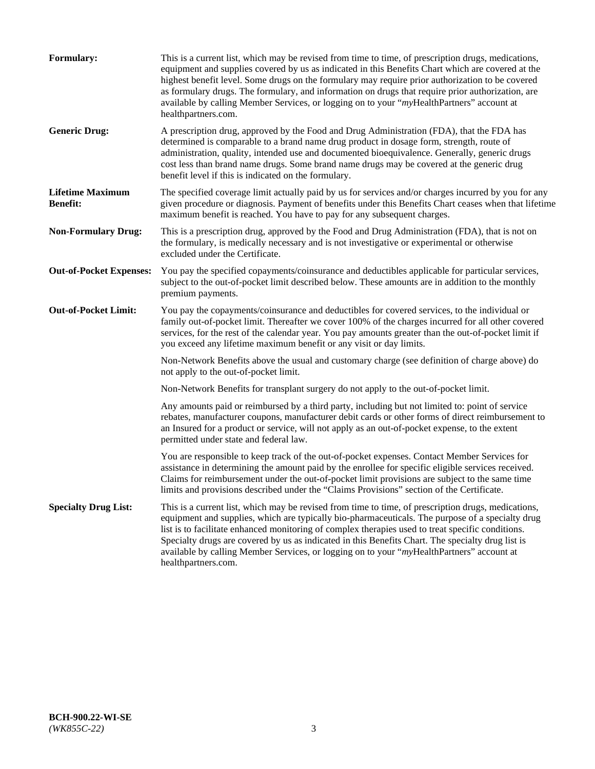| <b>Formulary:</b>                          | This is a current list, which may be revised from time to time, of prescription drugs, medications,<br>equipment and supplies covered by us as indicated in this Benefits Chart which are covered at the<br>highest benefit level. Some drugs on the formulary may require prior authorization to be covered<br>as formulary drugs. The formulary, and information on drugs that require prior authorization, are<br>available by calling Member Services, or logging on to your "myHealthPartners" account at<br>healthpartners.com. |
|--------------------------------------------|---------------------------------------------------------------------------------------------------------------------------------------------------------------------------------------------------------------------------------------------------------------------------------------------------------------------------------------------------------------------------------------------------------------------------------------------------------------------------------------------------------------------------------------|
| <b>Generic Drug:</b>                       | A prescription drug, approved by the Food and Drug Administration (FDA), that the FDA has<br>determined is comparable to a brand name drug product in dosage form, strength, route of<br>administration, quality, intended use and documented bioequivalence. Generally, generic drugs<br>cost less than brand name drugs. Some brand name drugs may be covered at the generic drug<br>benefit level if this is indicated on the formulary.                                                                                           |
| <b>Lifetime Maximum</b><br><b>Benefit:</b> | The specified coverage limit actually paid by us for services and/or charges incurred by you for any<br>given procedure or diagnosis. Payment of benefits under this Benefits Chart ceases when that lifetime<br>maximum benefit is reached. You have to pay for any subsequent charges.                                                                                                                                                                                                                                              |
| <b>Non-Formulary Drug:</b>                 | This is a prescription drug, approved by the Food and Drug Administration (FDA), that is not on<br>the formulary, is medically necessary and is not investigative or experimental or otherwise<br>excluded under the Certificate.                                                                                                                                                                                                                                                                                                     |
| <b>Out-of-Pocket Expenses:</b>             | You pay the specified copayments/coinsurance and deductibles applicable for particular services,<br>subject to the out-of-pocket limit described below. These amounts are in addition to the monthly<br>premium payments.                                                                                                                                                                                                                                                                                                             |
| <b>Out-of-Pocket Limit:</b>                | You pay the copayments/coinsurance and deductibles for covered services, to the individual or<br>family out-of-pocket limit. Thereafter we cover 100% of the charges incurred for all other covered<br>services, for the rest of the calendar year. You pay amounts greater than the out-of-pocket limit if<br>you exceed any lifetime maximum benefit or any visit or day limits.                                                                                                                                                    |
|                                            | Non-Network Benefits above the usual and customary charge (see definition of charge above) do<br>not apply to the out-of-pocket limit.                                                                                                                                                                                                                                                                                                                                                                                                |
|                                            | Non-Network Benefits for transplant surgery do not apply to the out-of-pocket limit.                                                                                                                                                                                                                                                                                                                                                                                                                                                  |
|                                            | Any amounts paid or reimbursed by a third party, including but not limited to: point of service<br>rebates, manufacturer coupons, manufacturer debit cards or other forms of direct reimbursement to<br>an Insured for a product or service, will not apply as an out-of-pocket expense, to the extent<br>permitted under state and federal law.                                                                                                                                                                                      |
|                                            | You are responsible to keep track of the out-of-pocket expenses. Contact Member Services for<br>assistance in determining the amount paid by the enrollee for specific eligible services received.<br>Claims for reimbursement under the out-of-pocket limit provisions are subject to the same time<br>limits and provisions described under the "Claims Provisions" section of the Certificate.                                                                                                                                     |
| <b>Specialty Drug List:</b>                | This is a current list, which may be revised from time to time, of prescription drugs, medications,<br>equipment and supplies, which are typically bio-pharmaceuticals. The purpose of a specialty drug<br>list is to facilitate enhanced monitoring of complex therapies used to treat specific conditions.<br>Specialty drugs are covered by us as indicated in this Benefits Chart. The specialty drug list is<br>available by calling Member Services, or logging on to your "myHealthPartners" account at<br>healthpartners.com. |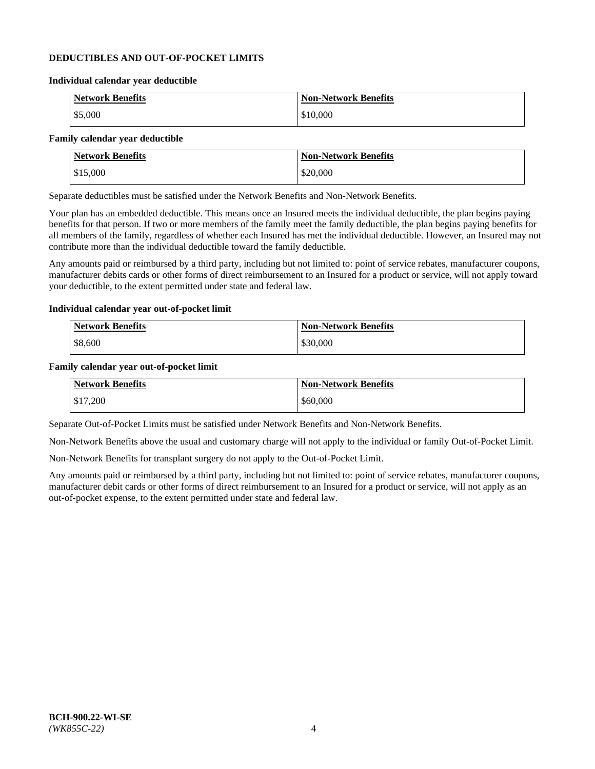#### **DEDUCTIBLES AND OUT-OF-POCKET LIMITS**

#### **Individual calendar year deductible**

| <b>Network Benefits</b> | <b>Non-Network Benefits</b> |
|-------------------------|-----------------------------|
| \$5,000                 | \$10,000                    |

#### **Family calendar year deductible**

| <b>Network Benefits</b> | <b>Non-Network Benefits</b> |
|-------------------------|-----------------------------|
| \$15,000                | \$20,000                    |

Separate deductibles must be satisfied under the Network Benefits and Non-Network Benefits.

Your plan has an embedded deductible. This means once an Insured meets the individual deductible, the plan begins paying benefits for that person. If two or more members of the family meet the family deductible, the plan begins paying benefits for all members of the family, regardless of whether each Insured has met the individual deductible. However, an Insured may not contribute more than the individual deductible toward the family deductible.

Any amounts paid or reimbursed by a third party, including but not limited to: point of service rebates, manufacturer coupons, manufacturer debits cards or other forms of direct reimbursement to an Insured for a product or service, will not apply toward your deductible, to the extent permitted under state and federal law.

#### **Individual calendar year out-of-pocket limit**

| Network Benefits | <b>Non-Network Benefits</b> |
|------------------|-----------------------------|
| \$8,600          | \$30,000                    |

#### **Family calendar year out-of-pocket limit**

| <b>Network Benefits</b> | <b>Non-Network Benefits</b> |
|-------------------------|-----------------------------|
| \$17,200                | \$60,000                    |

Separate Out-of-Pocket Limits must be satisfied under Network Benefits and Non-Network Benefits.

Non-Network Benefits above the usual and customary charge will not apply to the individual or family Out-of-Pocket Limit.

Non-Network Benefits for transplant surgery do not apply to the Out-of-Pocket Limit.

Any amounts paid or reimbursed by a third party, including but not limited to: point of service rebates, manufacturer coupons, manufacturer debit cards or other forms of direct reimbursement to an Insured for a product or service, will not apply as an out-of-pocket expense, to the extent permitted under state and federal law.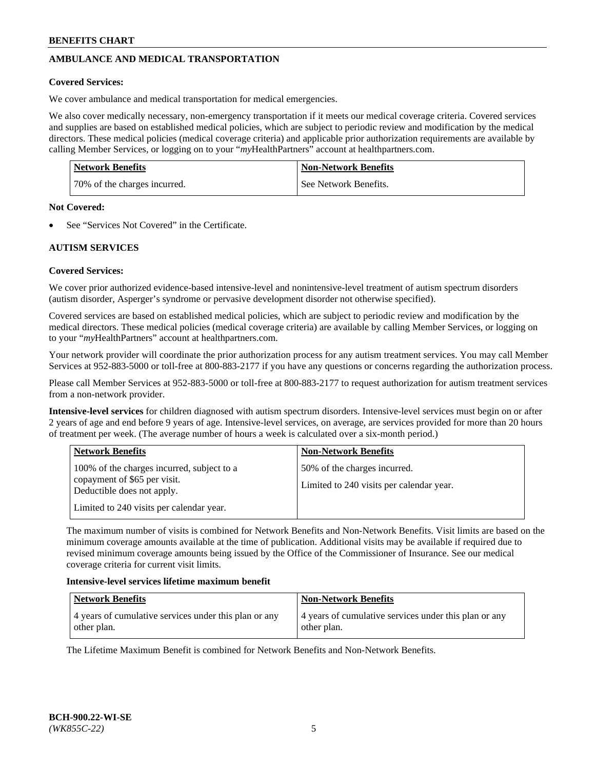# **AMBULANCE AND MEDICAL TRANSPORTATION**

#### **Covered Services:**

We cover ambulance and medical transportation for medical emergencies.

We also cover medically necessary, non-emergency transportation if it meets our medical coverage criteria. Covered services and supplies are based on established medical policies, which are subject to periodic review and modification by the medical directors. These medical policies (medical coverage criteria) and applicable prior authorization requirements are available by calling Member Services, or logging on to your "*my*HealthPartners" account a[t healthpartners.com.](https://www.healthpartners.com/hp/index.html)

| <b>Network Benefits</b>      | <b>Non-Network Benefits</b> |
|------------------------------|-----------------------------|
| 70% of the charges incurred. | l See Network Benefits.     |

#### **Not Covered:**

See "Services Not Covered" in the Certificate.

# **AUTISM SERVICES**

## **Covered Services:**

We cover prior authorized evidence-based intensive-level and nonintensive-level treatment of autism spectrum disorders (autism disorder, Asperger's syndrome or pervasive development disorder not otherwise specified).

Covered services are based on established medical policies, which are subject to periodic review and modification by the medical directors. These medical policies (medical coverage criteria) are available by calling Member Services, or logging on to your "*my*HealthPartners" account at [healthpartners.com.](https://www.healthpartners.com/hp/index.html)

Your network provider will coordinate the prior authorization process for any autism treatment services. You may call Member Services at 952-883-5000 or toll-free at 800-883-2177 if you have any questions or concerns regarding the authorization process.

Please call Member Services at 952-883-5000 or toll-free at 800-883-2177 to request authorization for autism treatment services from a non-network provider.

**Intensive-level services** for children diagnosed with autism spectrum disorders. Intensive-level services must begin on or after 2 years of age and end before 9 years of age. Intensive-level services, on average, are services provided for more than 20 hours of treatment per week. (The average number of hours a week is calculated over a six-month period.)

| <b>Network Benefits</b>                                                                                                                              | <b>Non-Network Benefits</b>                                              |
|------------------------------------------------------------------------------------------------------------------------------------------------------|--------------------------------------------------------------------------|
| 100% of the charges incurred, subject to a<br>copayment of \$65 per visit.<br>Deductible does not apply.<br>Limited to 240 visits per calendar year. | 50% of the charges incurred.<br>Limited to 240 visits per calendar year. |

The maximum number of visits is combined for Network Benefits and Non-Network Benefits. Visit limits are based on the minimum coverage amounts available at the time of publication. Additional visits may be available if required due to revised minimum coverage amounts being issued by the Office of the Commissioner of Insurance. See our medical coverage criteria for current visit limits.

#### **Intensive-level services lifetime maximum benefit**

| <b>Network Benefits</b>                                              | <b>Non-Network Benefits</b>                                          |
|----------------------------------------------------------------------|----------------------------------------------------------------------|
| 4 years of cumulative services under this plan or any<br>other plan. | 4 years of cumulative services under this plan or any<br>other plan. |

The Lifetime Maximum Benefit is combined for Network Benefits and Non-Network Benefits.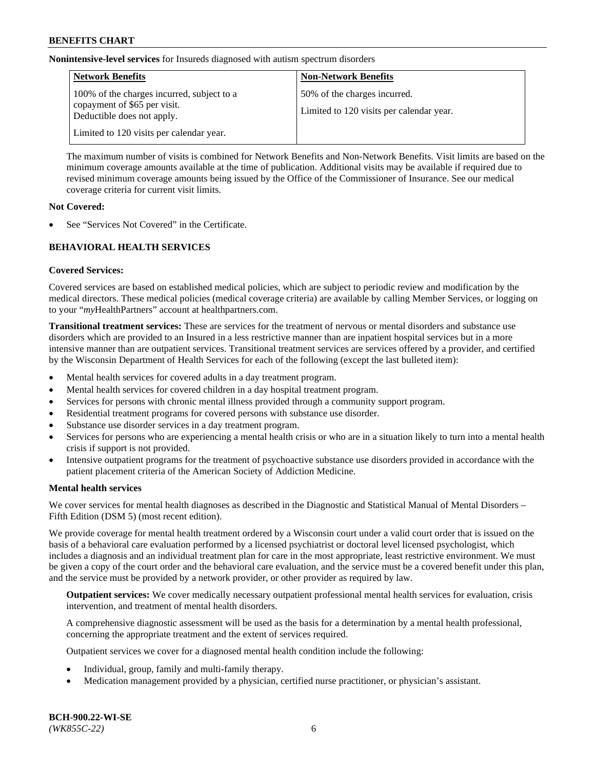**Nonintensive-level services** for Insureds diagnosed with autism spectrum disorders

| <b>Network Benefits</b>                                                                                  | <b>Non-Network Benefits</b>                                              |
|----------------------------------------------------------------------------------------------------------|--------------------------------------------------------------------------|
| 100% of the charges incurred, subject to a<br>copayment of \$65 per visit.<br>Deductible does not apply. | 50% of the charges incurred.<br>Limited to 120 visits per calendar year. |
| Limited to 120 visits per calendar year.                                                                 |                                                                          |

The maximum number of visits is combined for Network Benefits and Non-Network Benefits. Visit limits are based on the minimum coverage amounts available at the time of publication. Additional visits may be available if required due to revised minimum coverage amounts being issued by the Office of the Commissioner of Insurance. See our medical coverage criteria for current visit limits.

#### **Not Covered:**

See "Services Not Covered" in the Certificate.

## **BEHAVIORAL HEALTH SERVICES**

## **Covered Services:**

Covered services are based on established medical policies, which are subject to periodic review and modification by the medical directors. These medical policies (medical coverage criteria) are available by calling Member Services, or logging on to your "*my*HealthPartners" account at [healthpartners.com.](https://www.healthpartners.com/hp/index.html)

**Transitional treatment services:** These are services for the treatment of nervous or mental disorders and substance use disorders which are provided to an Insured in a less restrictive manner than are inpatient hospital services but in a more intensive manner than are outpatient services. Transitional treatment services are services offered by a provider, and certified by the Wisconsin Department of Health Services for each of the following (except the last bulleted item):

- Mental health services for covered adults in a day treatment program.
- Mental health services for covered children in a day hospital treatment program.
- Services for persons with chronic mental illness provided through a community support program.
- Residential treatment programs for covered persons with substance use disorder.
- Substance use disorder services in a day treatment program.
- Services for persons who are experiencing a mental health crisis or who are in a situation likely to turn into a mental health crisis if support is not provided.
- Intensive outpatient programs for the treatment of psychoactive substance use disorders provided in accordance with the patient placement criteria of the American Society of Addiction Medicine.

## **Mental health services**

We cover services for mental health diagnoses as described in the Diagnostic and Statistical Manual of Mental Disorders – Fifth Edition (DSM 5) (most recent edition).

We provide coverage for mental health treatment ordered by a Wisconsin court under a valid court order that is issued on the basis of a behavioral care evaluation performed by a licensed psychiatrist or doctoral level licensed psychologist, which includes a diagnosis and an individual treatment plan for care in the most appropriate, least restrictive environment. We must be given a copy of the court order and the behavioral care evaluation, and the service must be a covered benefit under this plan, and the service must be provided by a network provider, or other provider as required by law.

**Outpatient services:** We cover medically necessary outpatient professional mental health services for evaluation, crisis intervention, and treatment of mental health disorders.

A comprehensive diagnostic assessment will be used as the basis for a determination by a mental health professional, concerning the appropriate treatment and the extent of services required.

Outpatient services we cover for a diagnosed mental health condition include the following:

- Individual, group, family and multi-family therapy.
- Medication management provided by a physician, certified nurse practitioner, or physician's assistant.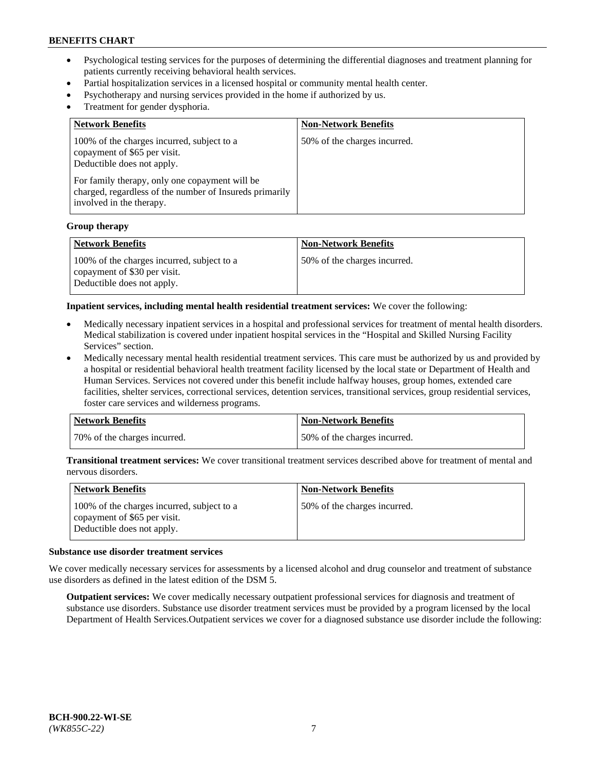- Psychological testing services for the purposes of determining the differential diagnoses and treatment planning for patients currently receiving behavioral health services.
- Partial hospitalization services in a licensed hospital or community mental health center.
- Psychotherapy and nursing services provided in the home if authorized by us.
- Treatment for gender dysphoria.

| <b>Network Benefits</b>                                                                                                                                                                                                                           | <b>Non-Network Benefits</b>  |
|---------------------------------------------------------------------------------------------------------------------------------------------------------------------------------------------------------------------------------------------------|------------------------------|
| 100% of the charges incurred, subject to a<br>copayment of \$65 per visit.<br>Deductible does not apply.<br>For family therapy, only one copayment will be<br>charged, regardless of the number of Insureds primarily<br>involved in the therapy. | 50% of the charges incurred. |

#### **Group therapy**

| Network Benefits                                                                                         | <b>Non-Network Benefits</b>  |
|----------------------------------------------------------------------------------------------------------|------------------------------|
| 100% of the charges incurred, subject to a<br>copayment of \$30 per visit.<br>Deductible does not apply. | 50% of the charges incurred. |

**Inpatient services, including mental health residential treatment services:** We cover the following:

- Medically necessary inpatient services in a hospital and professional services for treatment of mental health disorders. Medical stabilization is covered under inpatient hospital services in the "Hospital and Skilled Nursing Facility Services" section.
- Medically necessary mental health residential treatment services. This care must be authorized by us and provided by a hospital or residential behavioral health treatment facility licensed by the local state or Department of Health and Human Services. Services not covered under this benefit include halfway houses, group homes, extended care facilities, shelter services, correctional services, detention services, transitional services, group residential services, foster care services and wilderness programs.

| <b>Network Benefits</b>      | Non-Network Benefits         |
|------------------------------|------------------------------|
| 70% of the charges incurred. | 50% of the charges incurred. |

**Transitional treatment services:** We cover transitional treatment services described above for treatment of mental and nervous disorders.

| Network Benefits                                                                                         | <b>Non-Network Benefits</b>  |
|----------------------------------------------------------------------------------------------------------|------------------------------|
| 100% of the charges incurred, subject to a<br>copayment of \$65 per visit.<br>Deductible does not apply. | 50% of the charges incurred. |

#### **Substance use disorder treatment services**

We cover medically necessary services for assessments by a licensed alcohol and drug counselor and treatment of substance use disorders as defined in the latest edition of the DSM 5.

**Outpatient services:** We cover medically necessary outpatient professional services for diagnosis and treatment of substance use disorders. Substance use disorder treatment services must be provided by a program licensed by the local Department of Health Services.Outpatient services we cover for a diagnosed substance use disorder include the following: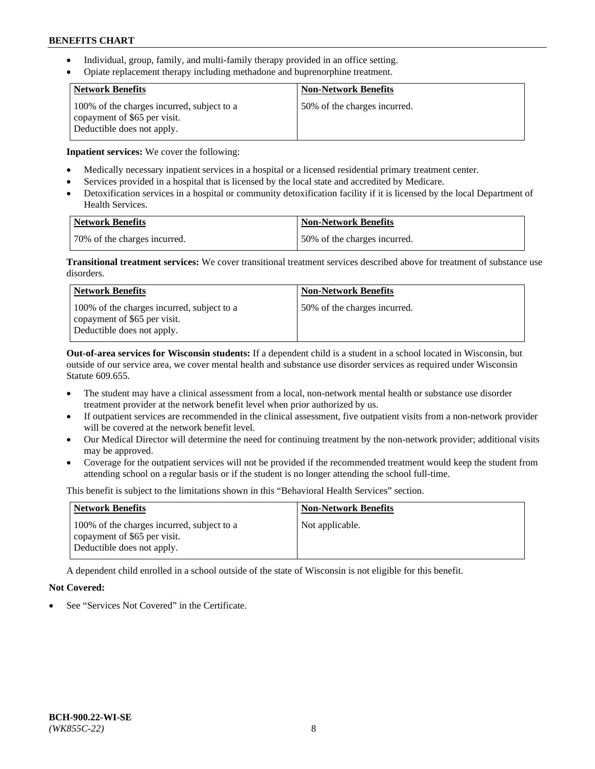- Individual, group, family, and multi-family therapy provided in an office setting.
- Opiate replacement therapy including methadone and buprenorphine treatment.

| <b>Network Benefits</b>                                                                                  | <b>Non-Network Benefits</b>  |
|----------------------------------------------------------------------------------------------------------|------------------------------|
| 100% of the charges incurred, subject to a<br>copayment of \$65 per visit.<br>Deductible does not apply. | 50% of the charges incurred. |

**Inpatient services:** We cover the following:

- Medically necessary inpatient services in a hospital or a licensed residential primary treatment center.
- Services provided in a hospital that is licensed by the local state and accredited by Medicare.
- Detoxification services in a hospital or community detoxification facility if it is licensed by the local Department of Health Services.

| Network Benefits             | <b>Non-Network Benefits</b>  |
|------------------------------|------------------------------|
| 70% of the charges incurred. | 50% of the charges incurred. |

**Transitional treatment services:** We cover transitional treatment services described above for treatment of substance use disorders.

| <b>Network Benefits</b>                                                                                  | <b>Non-Network Benefits</b>  |
|----------------------------------------------------------------------------------------------------------|------------------------------|
| 100% of the charges incurred, subject to a<br>copayment of \$65 per visit.<br>Deductible does not apply. | 50% of the charges incurred. |

**Out-of-area services for Wisconsin students:** If a dependent child is a student in a school located in Wisconsin, but outside of our service area, we cover mental health and substance use disorder services as required under Wisconsin Statute 609.655.

- The student may have a clinical assessment from a local, non-network mental health or substance use disorder treatment provider at the network benefit level when prior authorized by us.
- If outpatient services are recommended in the clinical assessment, five outpatient visits from a non-network provider will be covered at the network benefit level.
- Our Medical Director will determine the need for continuing treatment by the non-network provider; additional visits may be approved.
- Coverage for the outpatient services will not be provided if the recommended treatment would keep the student from attending school on a regular basis or if the student is no longer attending the school full-time.

This benefit is subject to the limitations shown in this "Behavioral Health Services" section.

| <b>Network Benefits</b>                                                                                  | <b>Non-Network Benefits</b> |
|----------------------------------------------------------------------------------------------------------|-----------------------------|
| 100% of the charges incurred, subject to a<br>copayment of \$65 per visit.<br>Deductible does not apply. | Not applicable.             |

A dependent child enrolled in a school outside of the state of Wisconsin is not eligible for this benefit.

# **Not Covered:**

See "Services Not Covered" in the Certificate.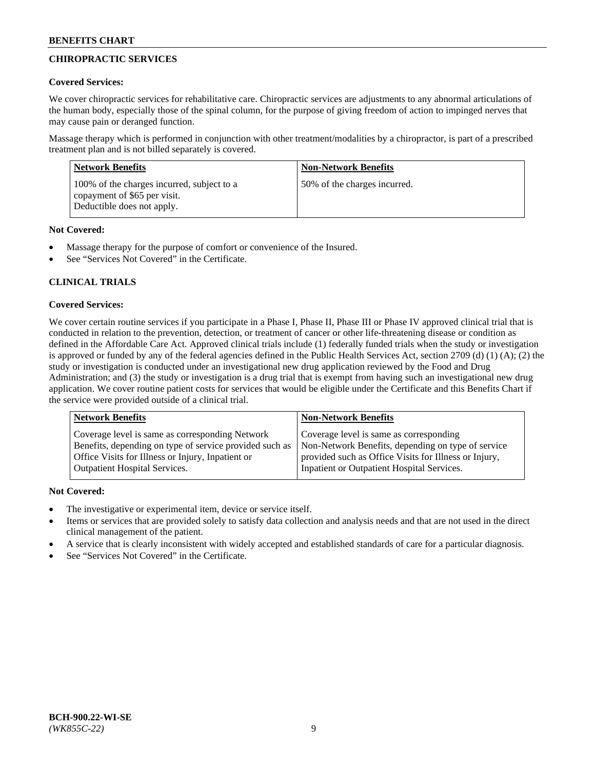# **CHIROPRACTIC SERVICES**

# **Covered Services:**

We cover chiropractic services for rehabilitative care. Chiropractic services are adjustments to any abnormal articulations of the human body, especially those of the spinal column, for the purpose of giving freedom of action to impinged nerves that may cause pain or deranged function.

Massage therapy which is performed in conjunction with other treatment/modalities by a chiropractor, is part of a prescribed treatment plan and is not billed separately is covered.

| <b>Network Benefits</b>                                                                                  | <b>Non-Network Benefits</b>  |
|----------------------------------------------------------------------------------------------------------|------------------------------|
| 100% of the charges incurred, subject to a<br>copayment of \$65 per visit.<br>Deductible does not apply. | 50% of the charges incurred. |

# **Not Covered:**

- Massage therapy for the purpose of comfort or convenience of the Insured.
- See "Services Not Covered" in the Certificate.

# **CLINICAL TRIALS**

# **Covered Services:**

We cover certain routine services if you participate in a Phase I, Phase II, Phase III or Phase IV approved clinical trial that is conducted in relation to the prevention, detection, or treatment of cancer or other life-threatening disease or condition as defined in the Affordable Care Act. Approved clinical trials include (1) federally funded trials when the study or investigation is approved or funded by any of the federal agencies defined in the Public Health Services Act, section 2709 (d) (1) (A); (2) the study or investigation is conducted under an investigational new drug application reviewed by the Food and Drug Administration; and (3) the study or investigation is a drug trial that is exempt from having such an investigational new drug application. We cover routine patient costs for services that would be eligible under the Certificate and this Benefits Chart if the service were provided outside of a clinical trial.

| Coverage level is same as corresponding Network                                                                                                                                                    | <b>Non-Network Benefits</b>                                                                                                                            |  |
|----------------------------------------------------------------------------------------------------------------------------------------------------------------------------------------------------|--------------------------------------------------------------------------------------------------------------------------------------------------------|--|
| Benefits, depending on type of service provided such as<br>Office Visits for Illness or Injury, Inpatient or<br>Inpatient or Outpatient Hospital Services.<br><b>Outpatient Hospital Services.</b> | Coverage level is same as corresponding<br>Non-Network Benefits, depending on type of service<br>provided such as Office Visits for Illness or Injury, |  |

## **Not Covered:**

- The investigative or experimental item, device or service itself.
- Items or services that are provided solely to satisfy data collection and analysis needs and that are not used in the direct clinical management of the patient.
- A service that is clearly inconsistent with widely accepted and established standards of care for a particular diagnosis.
- See "Services Not Covered" in the Certificate.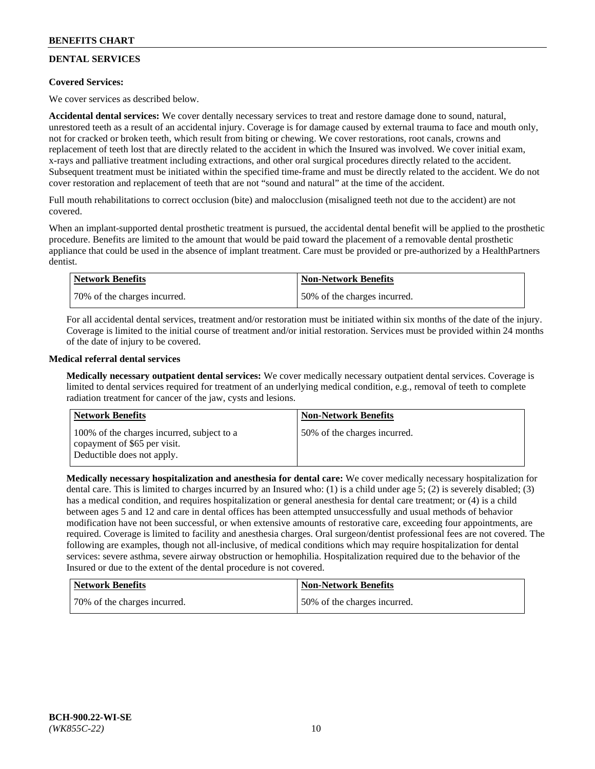# **DENTAL SERVICES**

## **Covered Services:**

We cover services as described below.

**Accidental dental services:** We cover dentally necessary services to treat and restore damage done to sound, natural, unrestored teeth as a result of an accidental injury. Coverage is for damage caused by external trauma to face and mouth only, not for cracked or broken teeth, which result from biting or chewing. We cover restorations, root canals, crowns and replacement of teeth lost that are directly related to the accident in which the Insured was involved. We cover initial exam, x-rays and palliative treatment including extractions, and other oral surgical procedures directly related to the accident. Subsequent treatment must be initiated within the specified time-frame and must be directly related to the accident. We do not cover restoration and replacement of teeth that are not "sound and natural" at the time of the accident.

Full mouth rehabilitations to correct occlusion (bite) and malocclusion (misaligned teeth not due to the accident) are not covered.

When an implant-supported dental prosthetic treatment is pursued, the accidental dental benefit will be applied to the prosthetic procedure. Benefits are limited to the amount that would be paid toward the placement of a removable dental prosthetic appliance that could be used in the absence of implant treatment. Care must be provided or pre-authorized by a HealthPartners dentist.

| Network Benefits             | <b>Non-Network Benefits</b>  |
|------------------------------|------------------------------|
| 70% of the charges incurred. | 50% of the charges incurred. |

For all accidental dental services, treatment and/or restoration must be initiated within six months of the date of the injury. Coverage is limited to the initial course of treatment and/or initial restoration. Services must be provided within 24 months of the date of injury to be covered.

## **Medical referral dental services**

**Medically necessary outpatient dental services:** We cover medically necessary outpatient dental services. Coverage is limited to dental services required for treatment of an underlying medical condition, e.g., removal of teeth to complete radiation treatment for cancer of the jaw, cysts and lesions.

| <b>Network Benefits</b>                                                                                  | <b>Non-Network Benefits</b>  |
|----------------------------------------------------------------------------------------------------------|------------------------------|
| 100% of the charges incurred, subject to a<br>copayment of \$65 per visit.<br>Deductible does not apply. | 50% of the charges incurred. |

**Medically necessary hospitalization and anesthesia for dental care:** We cover medically necessary hospitalization for dental care. This is limited to charges incurred by an Insured who: (1) is a child under age 5; (2) is severely disabled; (3) has a medical condition, and requires hospitalization or general anesthesia for dental care treatment; or (4) is a child between ages 5 and 12 and care in dental offices has been attempted unsuccessfully and usual methods of behavior modification have not been successful, or when extensive amounts of restorative care, exceeding four appointments, are required. Coverage is limited to facility and anesthesia charges. Oral surgeon/dentist professional fees are not covered. The following are examples, though not all-inclusive, of medical conditions which may require hospitalization for dental services: severe asthma, severe airway obstruction or hemophilia. Hospitalization required due to the behavior of the Insured or due to the extent of the dental procedure is not covered.

| <b>Network Benefits</b>      | Non-Network Benefits         |
|------------------------------|------------------------------|
| 70% of the charges incurred. | 50% of the charges incurred. |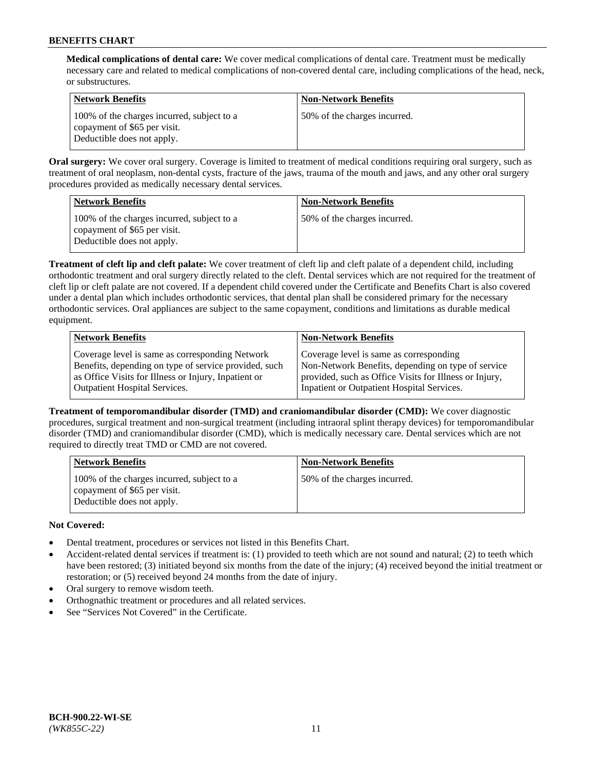**Medical complications of dental care:** We cover medical complications of dental care. Treatment must be medically necessary care and related to medical complications of non-covered dental care, including complications of the head, neck, or substructures.

| Network Benefits                                                                                         | <b>Non-Network Benefits</b>  |
|----------------------------------------------------------------------------------------------------------|------------------------------|
| 100% of the charges incurred, subject to a<br>copayment of \$65 per visit.<br>Deductible does not apply. | 50% of the charges incurred. |

**Oral surgery:** We cover oral surgery. Coverage is limited to treatment of medical conditions requiring oral surgery, such as treatment of oral neoplasm, non-dental cysts, fracture of the jaws, trauma of the mouth and jaws, and any other oral surgery procedures provided as medically necessary dental services.

| <b>Network Benefits</b>                                                                                  | <b>Non-Network Benefits</b>  |
|----------------------------------------------------------------------------------------------------------|------------------------------|
| 100% of the charges incurred, subject to a<br>copayment of \$65 per visit.<br>Deductible does not apply. | 50% of the charges incurred. |

**Treatment of cleft lip and cleft palate:** We cover treatment of cleft lip and cleft palate of a dependent child, including orthodontic treatment and oral surgery directly related to the cleft. Dental services which are not required for the treatment of cleft lip or cleft palate are not covered. If a dependent child covered under the Certificate and Benefits Chart is also covered under a dental plan which includes orthodontic services, that dental plan shall be considered primary for the necessary orthodontic services. Oral appliances are subject to the same copayment, conditions and limitations as durable medical equipment.

| <b>Network Benefits</b>                               | <b>Non-Network Benefits</b>                            |
|-------------------------------------------------------|--------------------------------------------------------|
| Coverage level is same as corresponding Network       | Coverage level is same as corresponding                |
| Benefits, depending on type of service provided, such | Non-Network Benefits, depending on type of service     |
| as Office Visits for Illness or Injury, Inpatient or  | provided, such as Office Visits for Illness or Injury, |
| <b>Outpatient Hospital Services.</b>                  | Inpatient or Outpatient Hospital Services.             |

**Treatment of temporomandibular disorder (TMD) and craniomandibular disorder (CMD):** We cover diagnostic procedures, surgical treatment and non-surgical treatment (including intraoral splint therapy devices) for temporomandibular disorder (TMD) and craniomandibular disorder (CMD), which is medically necessary care. Dental services which are not required to directly treat TMD or CMD are not covered.

| <b>Network Benefits</b>                                                                                  | <b>Non-Network Benefits</b>  |
|----------------------------------------------------------------------------------------------------------|------------------------------|
| 100% of the charges incurred, subject to a<br>copayment of \$65 per visit.<br>Deductible does not apply. | 50% of the charges incurred. |

# **Not Covered:**

- Dental treatment, procedures or services not listed in this Benefits Chart.
- Accident-related dental services if treatment is: (1) provided to teeth which are not sound and natural; (2) to teeth which have been restored; (3) initiated beyond six months from the date of the injury; (4) received beyond the initial treatment or restoration; or (5) received beyond 24 months from the date of injury.
- Oral surgery to remove wisdom teeth.
- Orthognathic treatment or procedures and all related services.
- See "Services Not Covered" in the Certificate.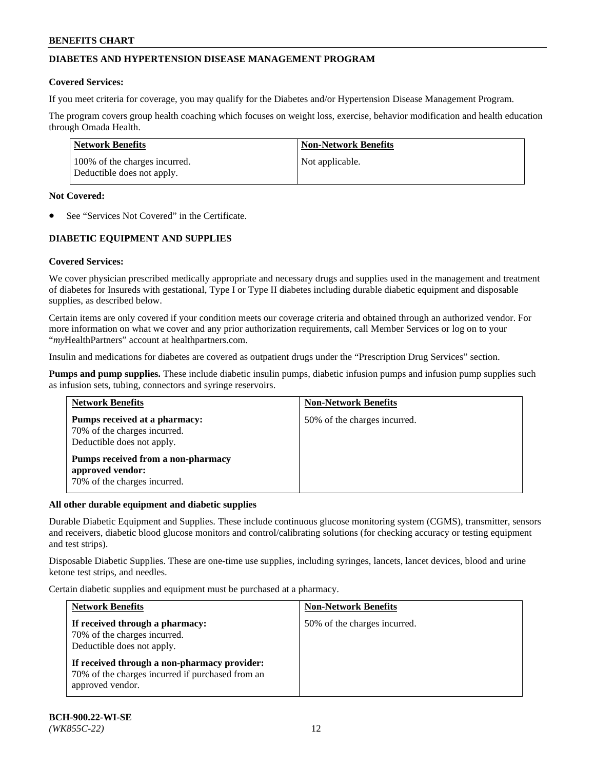# **DIABETES AND HYPERTENSION DISEASE MANAGEMENT PROGRAM**

#### **Covered Services:**

If you meet criteria for coverage, you may qualify for the Diabetes and/or Hypertension Disease Management Program.

The program covers group health coaching which focuses on weight loss, exercise, behavior modification and health education through Omada Health.

| <b>Network Benefits</b>                                     | <b>Non-Network Benefits</b> |
|-------------------------------------------------------------|-----------------------------|
| 100% of the charges incurred.<br>Deductible does not apply. | Not applicable.             |

#### **Not Covered:**

See "Services Not Covered" in the Certificate.

# **DIABETIC EQUIPMENT AND SUPPLIES**

## **Covered Services:**

We cover physician prescribed medically appropriate and necessary drugs and supplies used in the management and treatment of diabetes for Insureds with gestational, Type I or Type II diabetes including durable diabetic equipment and disposable supplies, as described below.

Certain items are only covered if your condition meets our coverage criteria and obtained through an authorized vendor. For more information on what we cover and any prior authorization requirements, call Member Services or log on to your "*my*HealthPartners" account at [healthpartners.com.](http://www.healthpartners.com/)

Insulin and medications for diabetes are covered as outpatient drugs under the "Prescription Drug Services" section.

**Pumps and pump supplies.** These include diabetic insulin pumps, diabetic infusion pumps and infusion pump supplies such as infusion sets, tubing, connectors and syringe reservoirs.

| <b>Network Benefits</b>                                                                     | <b>Non-Network Benefits</b>  |
|---------------------------------------------------------------------------------------------|------------------------------|
| Pumps received at a pharmacy:<br>70% of the charges incurred.<br>Deductible does not apply. | 50% of the charges incurred. |
| Pumps received from a non-pharmacy<br>approved vendor:<br>70% of the charges incurred.      |                              |

#### **All other durable equipment and diabetic supplies**

Durable Diabetic Equipment and Supplies. These include continuous glucose monitoring system (CGMS), transmitter, sensors and receivers, diabetic blood glucose monitors and control/calibrating solutions (for checking accuracy or testing equipment and test strips).

Disposable Diabetic Supplies. These are one-time use supplies, including syringes, lancets, lancet devices, blood and urine ketone test strips, and needles.

Certain diabetic supplies and equipment must be purchased at a pharmacy.

| <b>Network Benefits</b>                                                                                              | <b>Non-Network Benefits</b>  |
|----------------------------------------------------------------------------------------------------------------------|------------------------------|
| If received through a pharmacy:<br>70% of the charges incurred.<br>Deductible does not apply.                        | 50% of the charges incurred. |
| If received through a non-pharmacy provider:<br>70% of the charges incurred if purchased from an<br>approved vendor. |                              |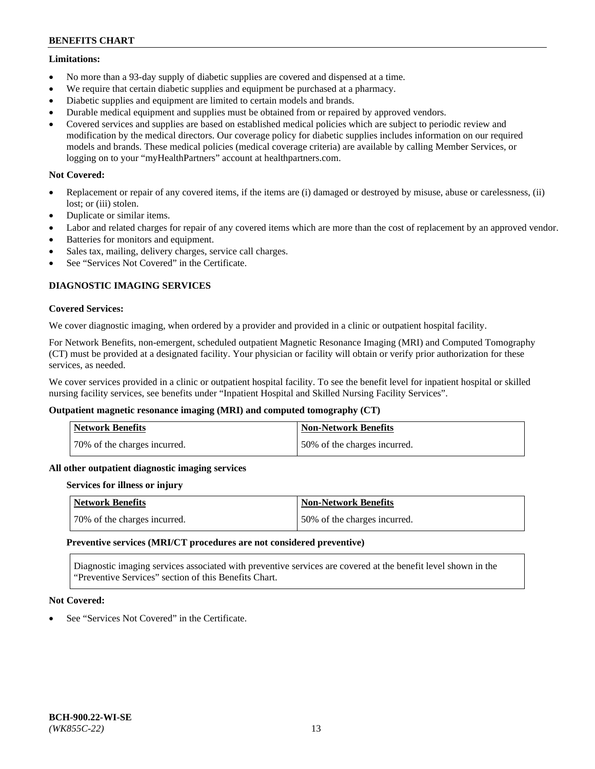#### **Limitations:**

- No more than a 93-day supply of diabetic supplies are covered and dispensed at a time.
- We require that certain diabetic supplies and equipment be purchased at a pharmacy.
- Diabetic supplies and equipment are limited to certain models and brands.
- Durable medical equipment and supplies must be obtained from or repaired by approved vendors.
- Covered services and supplies are based on established medical policies which are subject to periodic review and modification by the medical directors. Our coverage policy for diabetic supplies includes information on our required models and brands. These medical policies (medical coverage criteria) are available by calling Member Services, or logging on to your "myHealthPartners" account at [healthpartners.com.](http://www.healthpartners.com/)

## **Not Covered:**

- Replacement or repair of any covered items, if the items are (i) damaged or destroyed by misuse, abuse or carelessness, (ii) lost; or (iii) stolen.
- Duplicate or similar items.
- Labor and related charges for repair of any covered items which are more than the cost of replacement by an approved vendor.
- Batteries for monitors and equipment.
- Sales tax, mailing, delivery charges, service call charges.
- See "Services Not Covered" in the Certificate.

## **DIAGNOSTIC IMAGING SERVICES**

#### **Covered Services:**

We cover diagnostic imaging, when ordered by a provider and provided in a clinic or outpatient hospital facility.

For Network Benefits, non-emergent, scheduled outpatient Magnetic Resonance Imaging (MRI) and Computed Tomography (CT) must be provided at a designated facility. Your physician or facility will obtain or verify prior authorization for these services, as needed.

We cover services provided in a clinic or outpatient hospital facility. To see the benefit level for inpatient hospital or skilled nursing facility services, see benefits under "Inpatient Hospital and Skilled Nursing Facility Services".

## **Outpatient magnetic resonance imaging (MRI) and computed tomography (CT)**

| <b>Network Benefits</b>      | <b>Non-Network Benefits</b>  |
|------------------------------|------------------------------|
| 70% of the charges incurred. | 50% of the charges incurred. |

#### **All other outpatient diagnostic imaging services**

#### **Services for illness or injury**

| <b>Network Benefits</b>      | Non-Network Benefits         |
|------------------------------|------------------------------|
| 70% of the charges incurred. | 50% of the charges incurred. |

#### **Preventive services (MRI/CT procedures are not considered preventive)**

Diagnostic imaging services associated with preventive services are covered at the benefit level shown in the "Preventive Services" section of this Benefits Chart.

## **Not Covered:**

See "Services Not Covered" in the Certificate.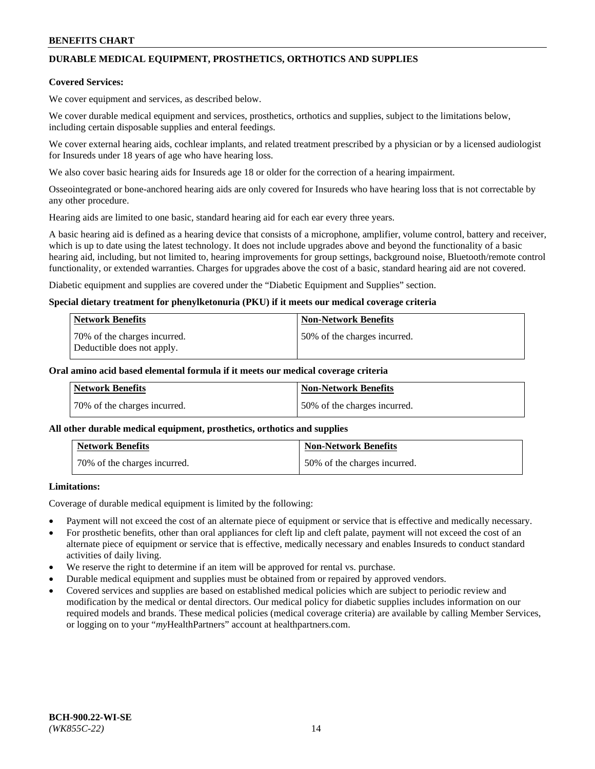# **DURABLE MEDICAL EQUIPMENT, PROSTHETICS, ORTHOTICS AND SUPPLIES**

#### **Covered Services:**

We cover equipment and services, as described below.

We cover durable medical equipment and services, prosthetics, orthotics and supplies, subject to the limitations below, including certain disposable supplies and enteral feedings.

We cover external hearing aids, cochlear implants, and related treatment prescribed by a physician or by a licensed audiologist for Insureds under 18 years of age who have hearing loss.

We also cover basic hearing aids for Insureds age 18 or older for the correction of a hearing impairment.

Osseointegrated or bone-anchored hearing aids are only covered for Insureds who have hearing loss that is not correctable by any other procedure.

Hearing aids are limited to one basic, standard hearing aid for each ear every three years.

A basic hearing aid is defined as a hearing device that consists of a microphone, amplifier, volume control, battery and receiver, which is up to date using the latest technology. It does not include upgrades above and beyond the functionality of a basic hearing aid, including, but not limited to, hearing improvements for group settings, background noise, Bluetooth/remote control functionality, or extended warranties. Charges for upgrades above the cost of a basic, standard hearing aid are not covered.

Diabetic equipment and supplies are covered under the "Diabetic Equipment and Supplies" section.

#### **Special dietary treatment for phenylketonuria (PKU) if it meets our medical coverage criteria**

| <b>Network Benefits</b>                                    | <b>Non-Network Benefits</b>  |
|------------------------------------------------------------|------------------------------|
| 70% of the charges incurred.<br>Deductible does not apply. | 50% of the charges incurred. |

#### **Oral amino acid based elemental formula if it meets our medical coverage criteria**

| Network Benefits             | <b>Non-Network Benefits</b>  |
|------------------------------|------------------------------|
| 70% of the charges incurred. | 50% of the charges incurred. |

#### **All other durable medical equipment, prosthetics, orthotics and supplies**

| <b>Network Benefits</b>      | <b>Non-Network Benefits</b>  |
|------------------------------|------------------------------|
| 70% of the charges incurred. | 50% of the charges incurred. |

## **Limitations:**

Coverage of durable medical equipment is limited by the following:

- Payment will not exceed the cost of an alternate piece of equipment or service that is effective and medically necessary.
- For prosthetic benefits, other than oral appliances for cleft lip and cleft palate, payment will not exceed the cost of an alternate piece of equipment or service that is effective, medically necessary and enables Insureds to conduct standard activities of daily living.
- We reserve the right to determine if an item will be approved for rental vs. purchase.
- Durable medical equipment and supplies must be obtained from or repaired by approved vendors.
- Covered services and supplies are based on established medical policies which are subject to periodic review and modification by the medical or dental directors. Our medical policy for diabetic supplies includes information on our required models and brands. These medical policies (medical coverage criteria) are available by calling Member Services, or logging on to your "*my*HealthPartners" account a[t healthpartners.com.](http://www.healthpartners.com/)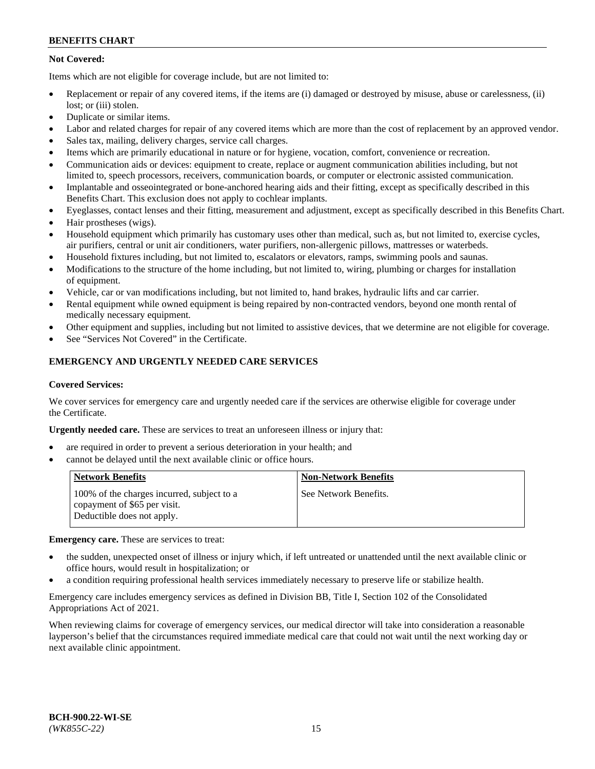# **Not Covered:**

Items which are not eligible for coverage include, but are not limited to:

- Replacement or repair of any covered items, if the items are (i) damaged or destroyed by misuse, abuse or carelessness, (ii) lost; or (iii) stolen.
- Duplicate or similar items.
- Labor and related charges for repair of any covered items which are more than the cost of replacement by an approved vendor.
- Sales tax, mailing, delivery charges, service call charges.
- Items which are primarily educational in nature or for hygiene, vocation, comfort, convenience or recreation.
- Communication aids or devices: equipment to create, replace or augment communication abilities including, but not limited to, speech processors, receivers, communication boards, or computer or electronic assisted communication.
- Implantable and osseointegrated or bone-anchored hearing aids and their fitting, except as specifically described in this Benefits Chart. This exclusion does not apply to cochlear implants.
- Eyeglasses, contact lenses and their fitting, measurement and adjustment, except as specifically described in this Benefits Chart.
- Hair prostheses (wigs).
- Household equipment which primarily has customary uses other than medical, such as, but not limited to, exercise cycles, air purifiers, central or unit air conditioners, water purifiers, non-allergenic pillows, mattresses or waterbeds.
- Household fixtures including, but not limited to, escalators or elevators, ramps, swimming pools and saunas.
- Modifications to the structure of the home including, but not limited to, wiring, plumbing or charges for installation of equipment.
- Vehicle, car or van modifications including, but not limited to, hand brakes, hydraulic lifts and car carrier.
- Rental equipment while owned equipment is being repaired by non-contracted vendors, beyond one month rental of medically necessary equipment.
- Other equipment and supplies, including but not limited to assistive devices, that we determine are not eligible for coverage.
- See "Services Not Covered" in the Certificate.

# **EMERGENCY AND URGENTLY NEEDED CARE SERVICES**

#### **Covered Services:**

We cover services for emergency care and urgently needed care if the services are otherwise eligible for coverage under the Certificate.

**Urgently needed care.** These are services to treat an unforeseen illness or injury that:

- are required in order to prevent a serious deterioration in your health; and
- cannot be delayed until the next available clinic or office hours.

| <b>Network Benefits</b>                                                                                  | <b>Non-Network Benefits</b> |
|----------------------------------------------------------------------------------------------------------|-----------------------------|
| 100% of the charges incurred, subject to a<br>copayment of \$65 per visit.<br>Deductible does not apply. | See Network Benefits.       |

**Emergency care.** These are services to treat:

- the sudden, unexpected onset of illness or injury which, if left untreated or unattended until the next available clinic or office hours, would result in hospitalization; or
- a condition requiring professional health services immediately necessary to preserve life or stabilize health.

Emergency care includes emergency services as defined in Division BB, Title I, Section 102 of the Consolidated Appropriations Act of 2021.

When reviewing claims for coverage of emergency services, our medical director will take into consideration a reasonable layperson's belief that the circumstances required immediate medical care that could not wait until the next working day or next available clinic appointment.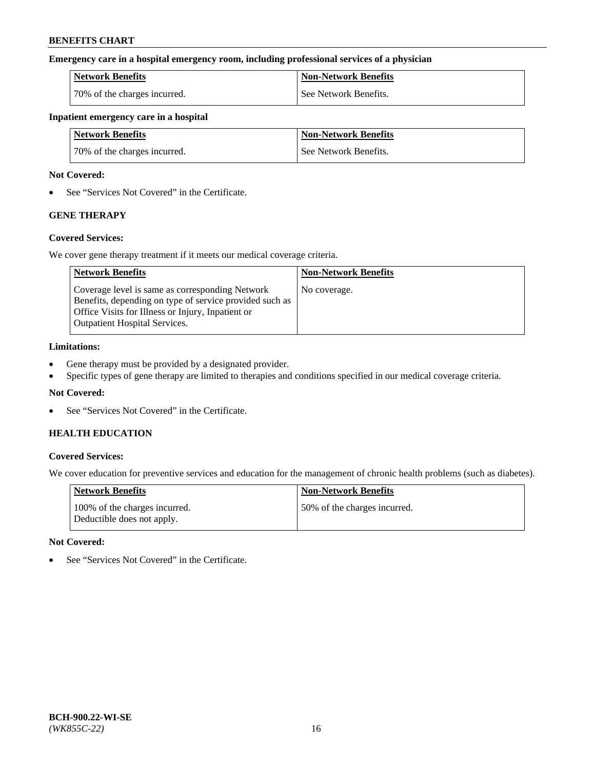#### **Emergency care in a hospital emergency room, including professional services of a physician**

| <b>Network Benefits</b>      | <b>Non-Network Benefits</b> |
|------------------------------|-----------------------------|
| 70% of the charges incurred. | See Network Benefits.       |

#### **Inpatient emergency care in a hospital**

| <b>Network Benefits</b>      | <b>Non-Network Benefits</b> |
|------------------------------|-----------------------------|
| 70% of the charges incurred. | See Network Benefits.       |

#### **Not Covered:**

• See "Services Not Covered" in the Certificate.

# **GENE THERAPY**

## **Covered Services:**

We cover gene therapy treatment if it meets our medical coverage criteria.

| <b>Network Benefits</b>                                                                                                                                                                                 | <b>Non-Network Benefits</b> |
|---------------------------------------------------------------------------------------------------------------------------------------------------------------------------------------------------------|-----------------------------|
| Coverage level is same as corresponding Network<br>Benefits, depending on type of service provided such as<br>Office Visits for Illness or Injury, Inpatient or<br><b>Outpatient Hospital Services.</b> | No coverage.                |

#### **Limitations:**

- Gene therapy must be provided by a designated provider.
- Specific types of gene therapy are limited to therapies and conditions specified in our medical coverage criteria.

## **Not Covered:**

• See "Services Not Covered" in the Certificate.

# **HEALTH EDUCATION**

## **Covered Services:**

We cover education for preventive services and education for the management of chronic health problems (such as diabetes).

| <b>Network Benefits</b>                                     | <b>Non-Network Benefits</b>  |
|-------------------------------------------------------------|------------------------------|
| 100% of the charges incurred.<br>Deductible does not apply. | 50% of the charges incurred. |

#### **Not Covered:**

• See "Services Not Covered" in the Certificate.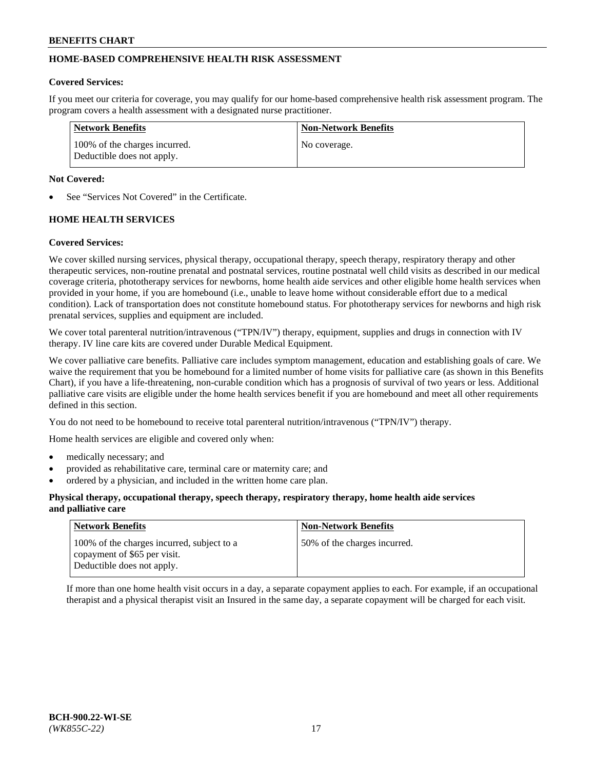# **HOME-BASED COMPREHENSIVE HEALTH RISK ASSESSMENT**

#### **Covered Services:**

If you meet our criteria for coverage, you may qualify for our home-based comprehensive health risk assessment program. The program covers a health assessment with a designated nurse practitioner.

| Network Benefits                                            | <b>Non-Network Benefits</b> |
|-------------------------------------------------------------|-----------------------------|
| 100% of the charges incurred.<br>Deductible does not apply. | No coverage.                |

#### **Not Covered:**

See "Services Not Covered" in the Certificate.

# **HOME HEALTH SERVICES**

#### **Covered Services:**

We cover skilled nursing services, physical therapy, occupational therapy, speech therapy, respiratory therapy and other therapeutic services, non-routine prenatal and postnatal services, routine postnatal well child visits as described in our medical coverage criteria, phototherapy services for newborns, home health aide services and other eligible home health services when provided in your home, if you are homebound (i.e., unable to leave home without considerable effort due to a medical condition). Lack of transportation does not constitute homebound status. For phototherapy services for newborns and high risk prenatal services, supplies and equipment are included.

We cover total parenteral nutrition/intravenous ("TPN/IV") therapy, equipment, supplies and drugs in connection with IV therapy. IV line care kits are covered under Durable Medical Equipment.

We cover palliative care benefits. Palliative care includes symptom management, education and establishing goals of care. We waive the requirement that you be homebound for a limited number of home visits for palliative care (as shown in this Benefits Chart), if you have a life-threatening, non-curable condition which has a prognosis of survival of two years or less. Additional palliative care visits are eligible under the home health services benefit if you are homebound and meet all other requirements defined in this section.

You do not need to be homebound to receive total parenteral nutrition/intravenous ("TPN/IV") therapy.

Home health services are eligible and covered only when:

- medically necessary; and
- provided as rehabilitative care, terminal care or maternity care; and
- ordered by a physician, and included in the written home care plan.

#### **Physical therapy, occupational therapy, speech therapy, respiratory therapy, home health aide services and palliative care**

| <b>Network Benefits</b>                                                                                  | <b>Non-Network Benefits</b>  |
|----------------------------------------------------------------------------------------------------------|------------------------------|
| 100% of the charges incurred, subject to a<br>copayment of \$65 per visit.<br>Deductible does not apply. | 50% of the charges incurred. |

If more than one home health visit occurs in a day, a separate copayment applies to each. For example, if an occupational therapist and a physical therapist visit an Insured in the same day, a separate copayment will be charged for each visit.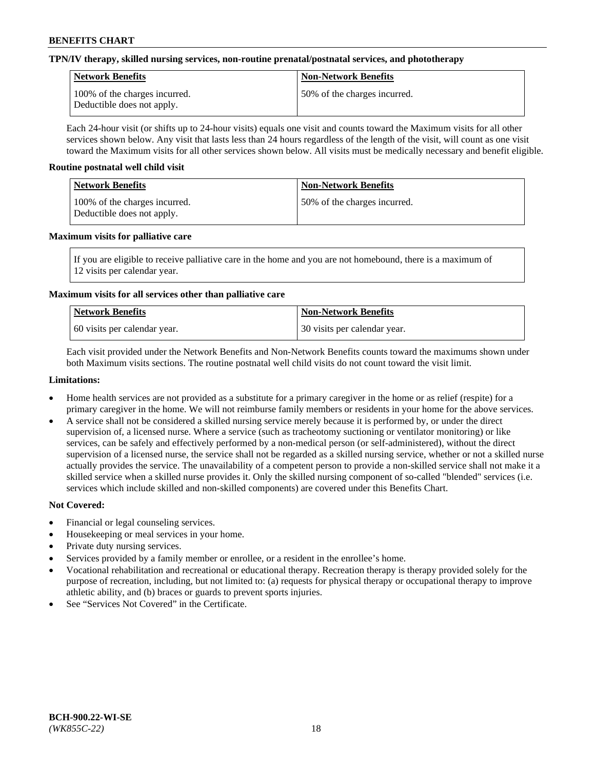#### **TPN/IV therapy, skilled nursing services, non-routine prenatal/postnatal services, and phototherapy**

| Network Benefits                                            | <b>Non-Network Benefits</b>  |
|-------------------------------------------------------------|------------------------------|
| 100% of the charges incurred.<br>Deductible does not apply. | 50% of the charges incurred. |

Each 24-hour visit (or shifts up to 24-hour visits) equals one visit and counts toward the Maximum visits for all other services shown below. Any visit that lasts less than 24 hours regardless of the length of the visit, will count as one visit toward the Maximum visits for all other services shown below. All visits must be medically necessary and benefit eligible.

#### **Routine postnatal well child visit**

| Network Benefits                                            | <b>Non-Network Benefits</b>  |
|-------------------------------------------------------------|------------------------------|
| 100% of the charges incurred.<br>Deductible does not apply. | 50% of the charges incurred. |

#### **Maximum visits for palliative care**

If you are eligible to receive palliative care in the home and you are not homebound, there is a maximum of 12 visits per calendar year.

## **Maximum visits for all services other than palliative care**

| Network Benefits               | <b>Non-Network Benefits</b>  |
|--------------------------------|------------------------------|
| 1.60 visits per calendar year. | 30 visits per calendar year. |

Each visit provided under the Network Benefits and Non-Network Benefits counts toward the maximums shown under both Maximum visits sections. The routine postnatal well child visits do not count toward the visit limit.

#### **Limitations:**

- Home health services are not provided as a substitute for a primary caregiver in the home or as relief (respite) for a primary caregiver in the home. We will not reimburse family members or residents in your home for the above services.
- A service shall not be considered a skilled nursing service merely because it is performed by, or under the direct supervision of, a licensed nurse. Where a service (such as tracheotomy suctioning or ventilator monitoring) or like services, can be safely and effectively performed by a non-medical person (or self-administered), without the direct supervision of a licensed nurse, the service shall not be regarded as a skilled nursing service, whether or not a skilled nurse actually provides the service. The unavailability of a competent person to provide a non-skilled service shall not make it a skilled service when a skilled nurse provides it. Only the skilled nursing component of so-called "blended" services (i.e. services which include skilled and non-skilled components) are covered under this Benefits Chart.

## **Not Covered:**

- Financial or legal counseling services.
- Housekeeping or meal services in your home.
- Private duty nursing services.
- Services provided by a family member or enrollee, or a resident in the enrollee's home.
- Vocational rehabilitation and recreational or educational therapy. Recreation therapy is therapy provided solely for the purpose of recreation, including, but not limited to: (a) requests for physical therapy or occupational therapy to improve athletic ability, and (b) braces or guards to prevent sports injuries.
- See "Services Not Covered" in the Certificate.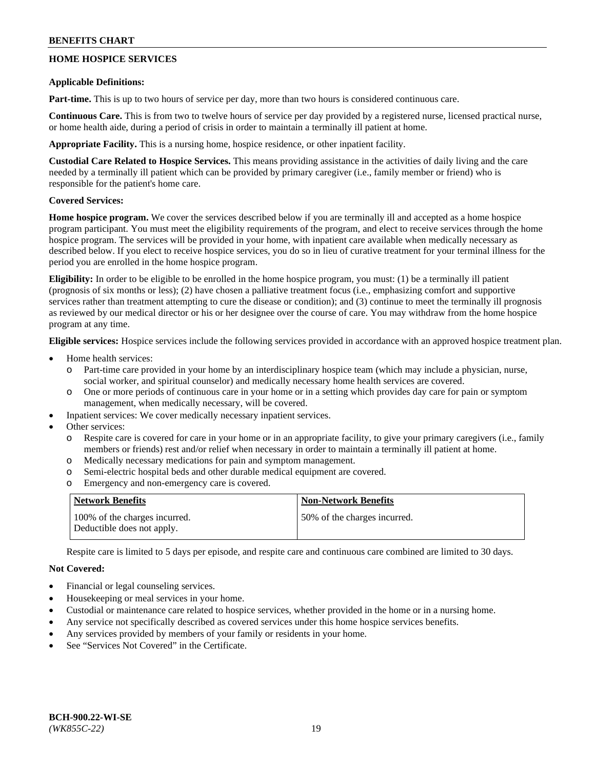# **HOME HOSPICE SERVICES**

#### **Applicable Definitions:**

**Part-time.** This is up to two hours of service per day, more than two hours is considered continuous care.

**Continuous Care.** This is from two to twelve hours of service per day provided by a registered nurse, licensed practical nurse, or home health aide, during a period of crisis in order to maintain a terminally ill patient at home.

**Appropriate Facility.** This is a nursing home, hospice residence, or other inpatient facility.

**Custodial Care Related to Hospice Services.** This means providing assistance in the activities of daily living and the care needed by a terminally ill patient which can be provided by primary caregiver (i.e., family member or friend) who is responsible for the patient's home care.

## **Covered Services:**

**Home hospice program.** We cover the services described below if you are terminally ill and accepted as a home hospice program participant. You must meet the eligibility requirements of the program, and elect to receive services through the home hospice program. The services will be provided in your home, with inpatient care available when medically necessary as described below. If you elect to receive hospice services, you do so in lieu of curative treatment for your terminal illness for the period you are enrolled in the home hospice program.

**Eligibility:** In order to be eligible to be enrolled in the home hospice program, you must: (1) be a terminally ill patient (prognosis of six months or less); (2) have chosen a palliative treatment focus (i.e., emphasizing comfort and supportive services rather than treatment attempting to cure the disease or condition); and (3) continue to meet the terminally ill prognosis as reviewed by our medical director or his or her designee over the course of care. You may withdraw from the home hospice program at any time.

**Eligible services:** Hospice services include the following services provided in accordance with an approved hospice treatment plan.

- Home health services:
	- Part-time care provided in your home by an interdisciplinary hospice team (which may include a physician, nurse, social worker, and spiritual counselor) and medically necessary home health services are covered.
	- o One or more periods of continuous care in your home or in a setting which provides day care for pain or symptom management, when medically necessary, will be covered.
	- Inpatient services: We cover medically necessary inpatient services.
- Other services:
	- Respite care is covered for care in your home or in an appropriate facility, to give your primary caregivers (i.e., family members or friends) rest and/or relief when necessary in order to maintain a terminally ill patient at home.
	- o Medically necessary medications for pain and symptom management.
	- o Semi-electric hospital beds and other durable medical equipment are covered.
	- o Emergency and non-emergency care is covered.

| Network Benefits                                            | <b>Non-Network Benefits</b>  |
|-------------------------------------------------------------|------------------------------|
| 100% of the charges incurred.<br>Deductible does not apply. | 50% of the charges incurred. |

Respite care is limited to 5 days per episode, and respite care and continuous care combined are limited to 30 days.

## **Not Covered:**

- Financial or legal counseling services.
- Housekeeping or meal services in your home.
- Custodial or maintenance care related to hospice services, whether provided in the home or in a nursing home.
- Any service not specifically described as covered services under this home hospice services benefits.
- Any services provided by members of your family or residents in your home.
- See "Services Not Covered" in the Certificate.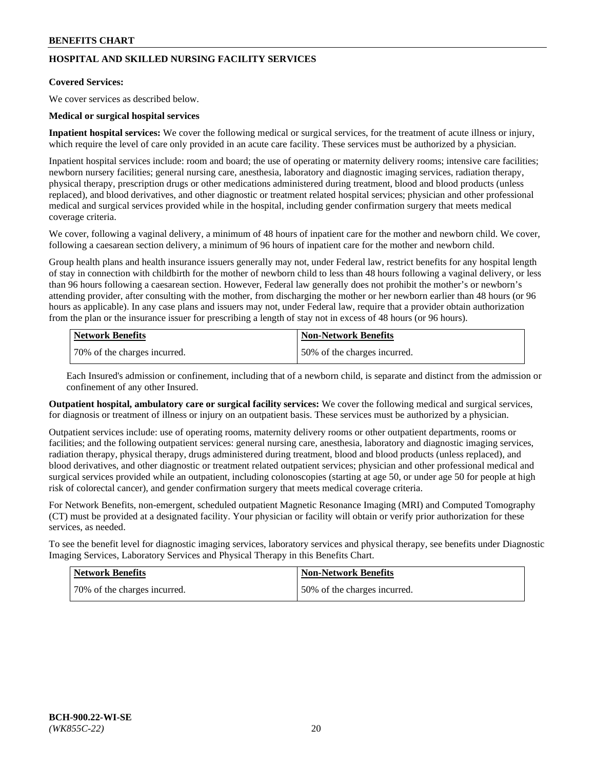# **HOSPITAL AND SKILLED NURSING FACILITY SERVICES**

#### **Covered Services:**

We cover services as described below.

#### **Medical or surgical hospital services**

**Inpatient hospital services:** We cover the following medical or surgical services, for the treatment of acute illness or injury, which require the level of care only provided in an acute care facility. These services must be authorized by a physician.

Inpatient hospital services include: room and board; the use of operating or maternity delivery rooms; intensive care facilities; newborn nursery facilities; general nursing care, anesthesia, laboratory and diagnostic imaging services, radiation therapy, physical therapy, prescription drugs or other medications administered during treatment, blood and blood products (unless replaced), and blood derivatives, and other diagnostic or treatment related hospital services; physician and other professional medical and surgical services provided while in the hospital, including gender confirmation surgery that meets medical coverage criteria.

We cover, following a vaginal delivery, a minimum of 48 hours of inpatient care for the mother and newborn child. We cover, following a caesarean section delivery, a minimum of 96 hours of inpatient care for the mother and newborn child.

Group health plans and health insurance issuers generally may not, under Federal law, restrict benefits for any hospital length of stay in connection with childbirth for the mother of newborn child to less than 48 hours following a vaginal delivery, or less than 96 hours following a caesarean section. However, Federal law generally does not prohibit the mother's or newborn's attending provider, after consulting with the mother, from discharging the mother or her newborn earlier than 48 hours (or 96 hours as applicable). In any case plans and issuers may not, under Federal law, require that a provider obtain authorization from the plan or the insurance issuer for prescribing a length of stay not in excess of 48 hours (or 96 hours).

| Network Benefits             | Non-Network Benefits         |
|------------------------------|------------------------------|
| 70% of the charges incurred. | 50% of the charges incurred. |

Each Insured's admission or confinement, including that of a newborn child, is separate and distinct from the admission or confinement of any other Insured.

**Outpatient hospital, ambulatory care or surgical facility services:** We cover the following medical and surgical services, for diagnosis or treatment of illness or injury on an outpatient basis. These services must be authorized by a physician.

Outpatient services include: use of operating rooms, maternity delivery rooms or other outpatient departments, rooms or facilities; and the following outpatient services: general nursing care, anesthesia, laboratory and diagnostic imaging services, radiation therapy, physical therapy, drugs administered during treatment, blood and blood products (unless replaced), and blood derivatives, and other diagnostic or treatment related outpatient services; physician and other professional medical and surgical services provided while an outpatient, including colonoscopies (starting at age 50, or under age 50 for people at high risk of colorectal cancer), and gender confirmation surgery that meets medical coverage criteria.

For Network Benefits, non-emergent, scheduled outpatient Magnetic Resonance Imaging (MRI) and Computed Tomography (CT) must be provided at a designated facility. Your physician or facility will obtain or verify prior authorization for these services, as needed.

To see the benefit level for diagnostic imaging services, laboratory services and physical therapy, see benefits under Diagnostic Imaging Services, Laboratory Services and Physical Therapy in this Benefits Chart.

| <b>Network Benefits</b>      | <b>Non-Network Benefits</b>   |
|------------------------------|-------------------------------|
| 70% of the charges incurred. | 150% of the charges incurred. |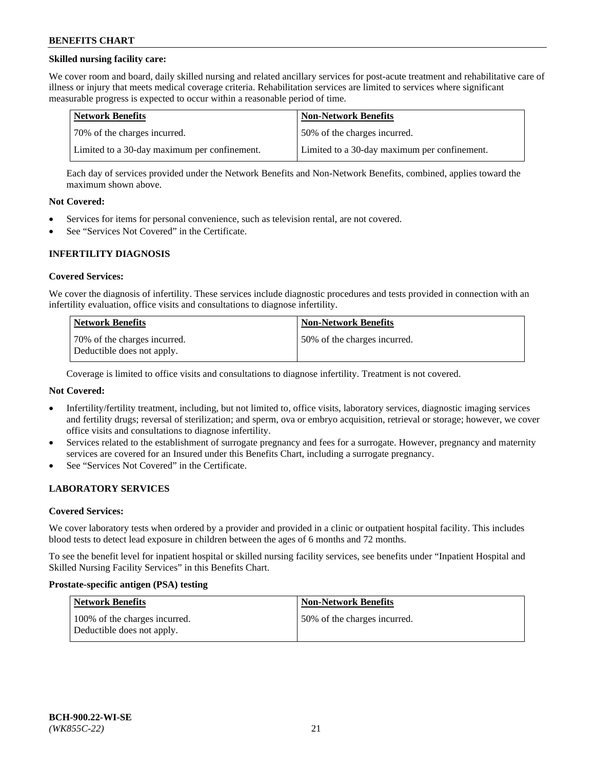## **Skilled nursing facility care:**

We cover room and board, daily skilled nursing and related ancillary services for post-acute treatment and rehabilitative care of illness or injury that meets medical coverage criteria. Rehabilitation services are limited to services where significant measurable progress is expected to occur within a reasonable period of time.

| Network Benefits                             | <b>Non-Network Benefits</b>                  |
|----------------------------------------------|----------------------------------------------|
| 170% of the charges incurred.                | 50% of the charges incurred.                 |
| Limited to a 30-day maximum per confinement. | Limited to a 30-day maximum per confinement. |

Each day of services provided under the Network Benefits and Non-Network Benefits, combined, applies toward the maximum shown above.

#### **Not Covered:**

- Services for items for personal convenience, such as television rental, are not covered.
- See "Services Not Covered" in the Certificate.

#### **INFERTILITY DIAGNOSIS**

#### **Covered Services:**

We cover the diagnosis of infertility. These services include diagnostic procedures and tests provided in connection with an infertility evaluation, office visits and consultations to diagnose infertility.

| <b>Network Benefits</b>                                    | <b>Non-Network Benefits</b>  |
|------------------------------------------------------------|------------------------------|
| 70% of the charges incurred.<br>Deductible does not apply. | 50% of the charges incurred. |

Coverage is limited to office visits and consultations to diagnose infertility. Treatment is not covered.

## **Not Covered:**

- Infertility/fertility treatment, including, but not limited to, office visits, laboratory services, diagnostic imaging services and fertility drugs; reversal of sterilization; and sperm, ova or embryo acquisition, retrieval or storage; however, we cover office visits and consultations to diagnose infertility.
- Services related to the establishment of surrogate pregnancy and fees for a surrogate. However, pregnancy and maternity services are covered for an Insured under this Benefits Chart, including a surrogate pregnancy.
- See "Services Not Covered" in the Certificate.

## **LABORATORY SERVICES**

#### **Covered Services:**

We cover laboratory tests when ordered by a provider and provided in a clinic or outpatient hospital facility. This includes blood tests to detect lead exposure in children between the ages of 6 months and 72 months.

To see the benefit level for inpatient hospital or skilled nursing facility services, see benefits under "Inpatient Hospital and Skilled Nursing Facility Services" in this Benefits Chart.

#### **Prostate-specific antigen (PSA) testing**

| Network Benefits                                            | <b>Non-Network Benefits</b>  |
|-------------------------------------------------------------|------------------------------|
| 100% of the charges incurred.<br>Deductible does not apply. | 50% of the charges incurred. |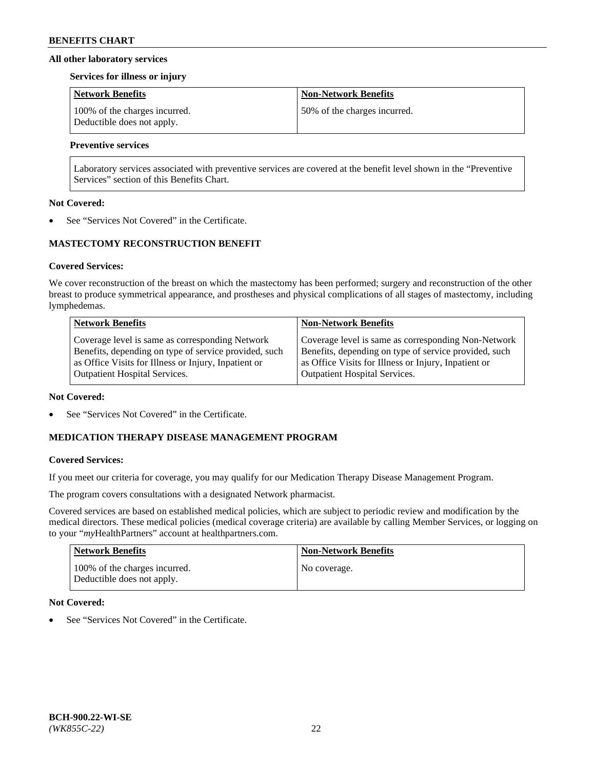#### **All other laboratory services**

#### **Services for illness or injury**

| <b>Network Benefits</b>                                     | <b>Non-Network Benefits</b>  |
|-------------------------------------------------------------|------------------------------|
| 100% of the charges incurred.<br>Deductible does not apply. | 50% of the charges incurred. |

# **Preventive services**

Laboratory services associated with preventive services are covered at the benefit level shown in the "Preventive Services" section of this Benefits Chart.

#### **Not Covered:**

See "Services Not Covered" in the Certificate.

# **MASTECTOMY RECONSTRUCTION BENEFIT**

#### **Covered Services:**

We cover reconstruction of the breast on which the mastectomy has been performed; surgery and reconstruction of the other breast to produce symmetrical appearance, and prostheses and physical complications of all stages of mastectomy, including lymphedemas.

| <b>Network Benefits</b>                               | <b>Non-Network Benefits</b>                           |
|-------------------------------------------------------|-------------------------------------------------------|
| Coverage level is same as corresponding Network       | Coverage level is same as corresponding Non-Network   |
| Benefits, depending on type of service provided, such | Benefits, depending on type of service provided, such |
| as Office Visits for Illness or Injury, Inpatient or  | as Office Visits for Illness or Injury, Inpatient or  |
| <b>Outpatient Hospital Services.</b>                  | Outpatient Hospital Services.                         |

#### **Not Covered:**

See "Services Not Covered" in the Certificate.

# **MEDICATION THERAPY DISEASE MANAGEMENT PROGRAM**

## **Covered Services:**

If you meet our criteria for coverage, you may qualify for our Medication Therapy Disease Management Program.

The program covers consultations with a designated Network pharmacist.

Covered services are based on established medical policies, which are subject to periodic review and modification by the medical directors. These medical policies (medical coverage criteria) are available by calling Member Services, or logging on to your "*my*HealthPartners" account at [healthpartners.com.](http://www.healthpartners.com/)

| Network Benefits                                            | <b>Non-Network Benefits</b> |
|-------------------------------------------------------------|-----------------------------|
| 100% of the charges incurred.<br>Deductible does not apply. | No coverage.                |

## **Not Covered:**

See "Services Not Covered" in the Certificate.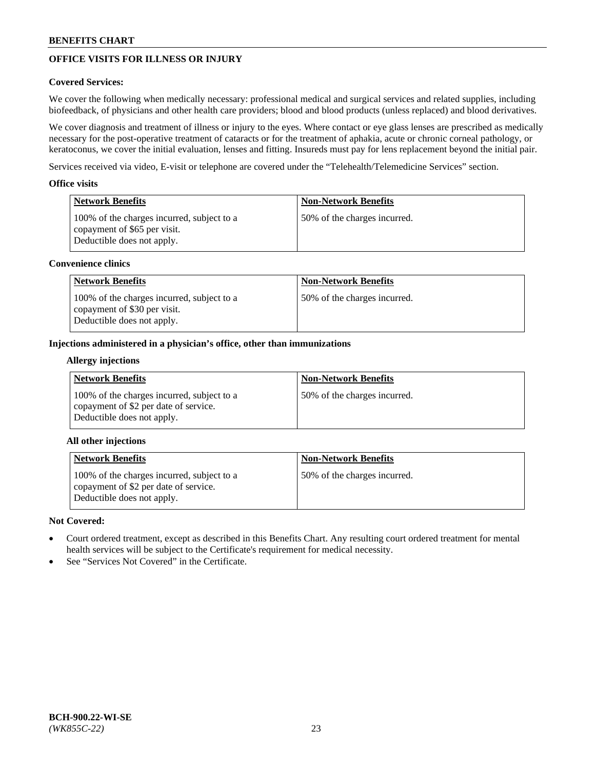# **OFFICE VISITS FOR ILLNESS OR INJURY**

## **Covered Services:**

We cover the following when medically necessary: professional medical and surgical services and related supplies, including biofeedback, of physicians and other health care providers; blood and blood products (unless replaced) and blood derivatives.

We cover diagnosis and treatment of illness or injury to the eyes. Where contact or eye glass lenses are prescribed as medically necessary for the post-operative treatment of cataracts or for the treatment of aphakia, acute or chronic corneal pathology, or keratoconus, we cover the initial evaluation, lenses and fitting. Insureds must pay for lens replacement beyond the initial pair.

Services received via video, E-visit or telephone are covered under the "Telehealth/Telemedicine Services" section.

#### **Office visits**

| Network Benefits                                                                                         | <b>Non-Network Benefits</b>  |
|----------------------------------------------------------------------------------------------------------|------------------------------|
| 100% of the charges incurred, subject to a<br>copayment of \$65 per visit.<br>Deductible does not apply. | 50% of the charges incurred. |

#### **Convenience clinics**

| <b>Network Benefits</b>                                                                                  | <b>Non-Network Benefits</b>  |
|----------------------------------------------------------------------------------------------------------|------------------------------|
| 100% of the charges incurred, subject to a<br>copayment of \$30 per visit.<br>Deductible does not apply. | 50% of the charges incurred. |

#### **Injections administered in a physician's office, other than immunizations**

#### **Allergy injections**

| <b>Network Benefits</b>                                                                                           | <b>Non-Network Benefits</b>  |
|-------------------------------------------------------------------------------------------------------------------|------------------------------|
| 100% of the charges incurred, subject to a<br>copayment of \$2 per date of service.<br>Deductible does not apply. | 50% of the charges incurred. |

## **All other injections**

| <b>Network Benefits</b>                                                                                           | <b>Non-Network Benefits</b>  |
|-------------------------------------------------------------------------------------------------------------------|------------------------------|
| 100% of the charges incurred, subject to a<br>copayment of \$2 per date of service.<br>Deductible does not apply. | 50% of the charges incurred. |

## **Not Covered:**

- Court ordered treatment, except as described in this Benefits Chart. Any resulting court ordered treatment for mental health services will be subject to the Certificate's requirement for medical necessity.
- See "Services Not Covered" in the Certificate.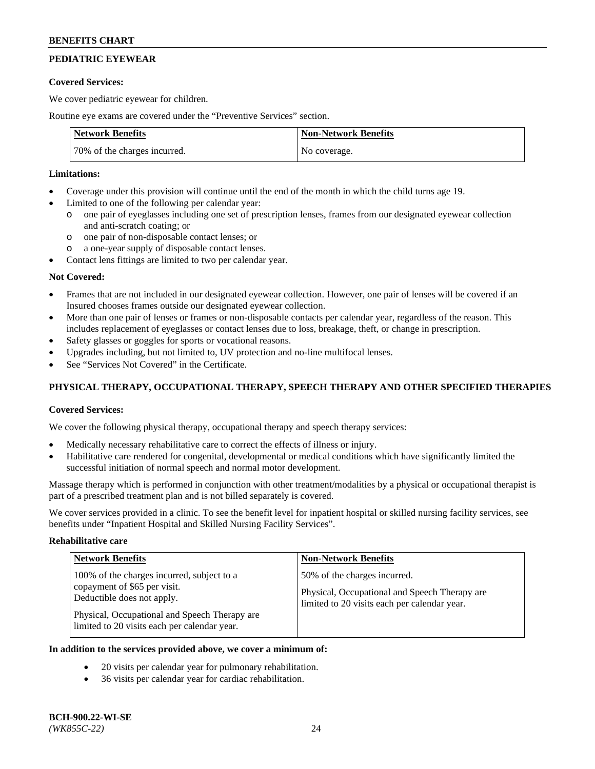# **PEDIATRIC EYEWEAR**

#### **Covered Services:**

We cover pediatric eyewear for children.

Routine eye exams are covered under the "Preventive Services" section.

| <b>Network Benefits</b>      | <b>Non-Network Benefits</b> |
|------------------------------|-----------------------------|
| 70% of the charges incurred. | No coverage.                |

#### **Limitations:**

- Coverage under this provision will continue until the end of the month in which the child turns age 19.
- Limited to one of the following per calendar year:
	- o one pair of eyeglasses including one set of prescription lenses, frames from our designated eyewear collection and anti-scratch coating; or
	- o one pair of non-disposable contact lenses; or
	- o a one-year supply of disposable contact lenses.
- Contact lens fittings are limited to two per calendar year.

## **Not Covered:**

- Frames that are not included in our designated eyewear collection. However, one pair of lenses will be covered if an Insured chooses frames outside our designated eyewear collection.
- More than one pair of lenses or frames or non-disposable contacts per calendar year, regardless of the reason. This includes replacement of eyeglasses or contact lenses due to loss, breakage, theft, or change in prescription.
- Safety glasses or goggles for sports or vocational reasons.
- Upgrades including, but not limited to, UV protection and no-line multifocal lenses.
- See "Services Not Covered" in the Certificate.

# **PHYSICAL THERAPY, OCCUPATIONAL THERAPY, SPEECH THERAPY AND OTHER SPECIFIED THERAPIES**

## **Covered Services:**

We cover the following physical therapy, occupational therapy and speech therapy services:

- Medically necessary rehabilitative care to correct the effects of illness or injury.
- Habilitative care rendered for congenital, developmental or medical conditions which have significantly limited the successful initiation of normal speech and normal motor development.

Massage therapy which is performed in conjunction with other treatment/modalities by a physical or occupational therapist is part of a prescribed treatment plan and is not billed separately is covered.

We cover services provided in a clinic. To see the benefit level for inpatient hospital or skilled nursing facility services, see benefits under "Inpatient Hospital and Skilled Nursing Facility Services".

#### **Rehabilitative care**

| <b>Network Benefits</b>                                                                                                                                                                                   | <b>Non-Network Benefits</b>                                                                                                   |
|-----------------------------------------------------------------------------------------------------------------------------------------------------------------------------------------------------------|-------------------------------------------------------------------------------------------------------------------------------|
| 100% of the charges incurred, subject to a<br>copayment of \$65 per visit.<br>Deductible does not apply.<br>Physical, Occupational and Speech Therapy are<br>limited to 20 visits each per calendar year. | 50% of the charges incurred.<br>Physical, Occupational and Speech Therapy are<br>limited to 20 visits each per calendar year. |

# **In addition to the services provided above, we cover a minimum of:**

- 20 visits per calendar year for pulmonary rehabilitation.
- 36 visits per calendar year for cardiac rehabilitation.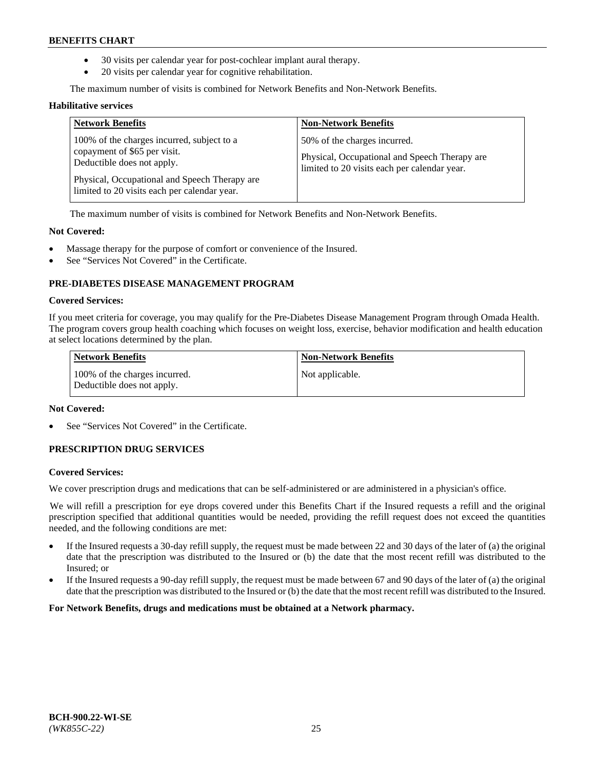- 30 visits per calendar year for post-cochlear implant aural therapy.
- 20 visits per calendar year for cognitive rehabilitation.

The maximum number of visits is combined for Network Benefits and Non-Network Benefits.

#### **Habilitative services**

| <b>Network Benefits</b>                                                                                                                                                                                   | <b>Non-Network Benefits</b>                                                                                                   |
|-----------------------------------------------------------------------------------------------------------------------------------------------------------------------------------------------------------|-------------------------------------------------------------------------------------------------------------------------------|
| 100% of the charges incurred, subject to a<br>copayment of \$65 per visit.<br>Deductible does not apply.<br>Physical, Occupational and Speech Therapy are<br>limited to 20 visits each per calendar year. | 50% of the charges incurred.<br>Physical, Occupational and Speech Therapy are<br>limited to 20 visits each per calendar year. |

The maximum number of visits is combined for Network Benefits and Non-Network Benefits.

#### **Not Covered:**

- Massage therapy for the purpose of comfort or convenience of the Insured.
- See "Services Not Covered" in the Certificate.

# **PRE-DIABETES DISEASE MANAGEMENT PROGRAM**

#### **Covered Services:**

If you meet criteria for coverage, you may qualify for the Pre-Diabetes Disease Management Program through Omada Health. The program covers group health coaching which focuses on weight loss, exercise, behavior modification and health education at select locations determined by the plan.

| <b>Network Benefits</b>                                     | <b>Non-Network Benefits</b> |
|-------------------------------------------------------------|-----------------------------|
| 100% of the charges incurred.<br>Deductible does not apply. | Not applicable.             |

## **Not Covered:**

See "Services Not Covered" in the Certificate.

## **PRESCRIPTION DRUG SERVICES**

#### **Covered Services:**

We cover prescription drugs and medications that can be self-administered or are administered in a physician's office.

We will refill a prescription for eye drops covered under this Benefits Chart if the Insured requests a refill and the original prescription specified that additional quantities would be needed, providing the refill request does not exceed the quantities needed, and the following conditions are met:

- If the Insured requests a 30-day refill supply, the request must be made between 22 and 30 days of the later of (a) the original date that the prescription was distributed to the Insured or (b) the date that the most recent refill was distributed to the Insured; or
- If the Insured requests a 90-day refill supply, the request must be made between 67 and 90 days of the later of (a) the original date that the prescription was distributed to the Insured or (b) the date that the most recent refill was distributed to the Insured.

**For Network Benefits, drugs and medications must be obtained at a Network pharmacy.**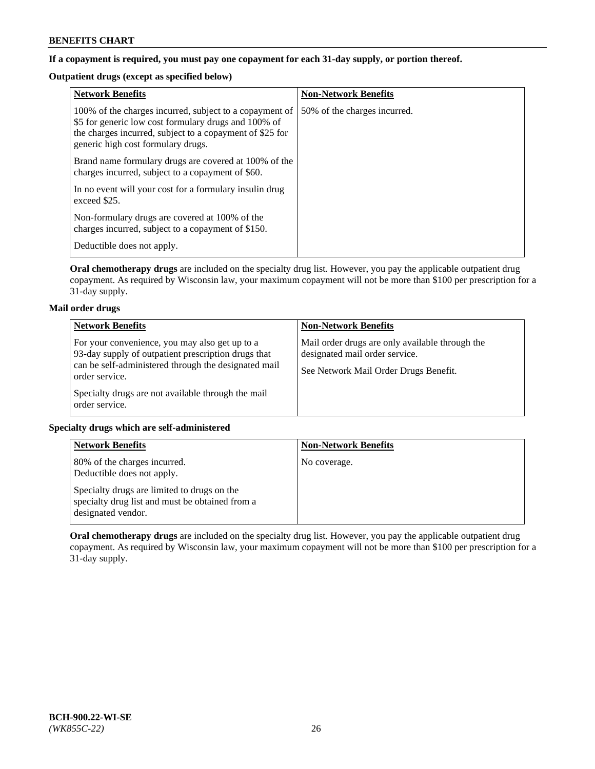# **If a copayment is required, you must pay one copayment for each 31-day supply, or portion thereof.**

# **Outpatient drugs (except as specified below)**

| <b>Network Benefits</b>                                                                                                                                                                                           | <b>Non-Network Benefits</b>  |
|-------------------------------------------------------------------------------------------------------------------------------------------------------------------------------------------------------------------|------------------------------|
| 100% of the charges incurred, subject to a copayment of<br>\$5 for generic low cost formulary drugs and 100% of<br>the charges incurred, subject to a copayment of \$25 for<br>generic high cost formulary drugs. | 50% of the charges incurred. |
| Brand name formulary drugs are covered at 100% of the<br>charges incurred, subject to a copayment of \$60.                                                                                                        |                              |
| In no event will your cost for a formulary insulin drug<br>exceed \$25.                                                                                                                                           |                              |
| Non-formulary drugs are covered at 100% of the<br>charges incurred, subject to a copayment of \$150.                                                                                                              |                              |
| Deductible does not apply.                                                                                                                                                                                        |                              |

**Oral chemotherapy drugs** are included on the specialty drug list. However, you pay the applicable outpatient drug copayment. As required by Wisconsin law, your maximum copayment will not be more than \$100 per prescription for a 31-day supply.

## **Mail order drugs**

| <b>Network Benefits</b>                                                                                                                                                         | <b>Non-Network Benefits</b>                                                                                                |
|---------------------------------------------------------------------------------------------------------------------------------------------------------------------------------|----------------------------------------------------------------------------------------------------------------------------|
| For your convenience, you may also get up to a<br>93-day supply of outpatient prescription drugs that<br>can be self-administered through the designated mail<br>order service. | Mail order drugs are only available through the<br>designated mail order service.<br>See Network Mail Order Drugs Benefit. |
| Specialty drugs are not available through the mail<br>order service.                                                                                                            |                                                                                                                            |

## **Specialty drugs which are self-administered**

| <b>Network Benefits</b>                                                                                              | <b>Non-Network Benefits</b> |
|----------------------------------------------------------------------------------------------------------------------|-----------------------------|
| 80% of the charges incurred.<br>Deductible does not apply.                                                           | No coverage.                |
| Specialty drugs are limited to drugs on the<br>specialty drug list and must be obtained from a<br>designated vendor. |                             |

**Oral chemotherapy drugs** are included on the specialty drug list. However, you pay the applicable outpatient drug copayment. As required by Wisconsin law, your maximum copayment will not be more than \$100 per prescription for a 31-day supply.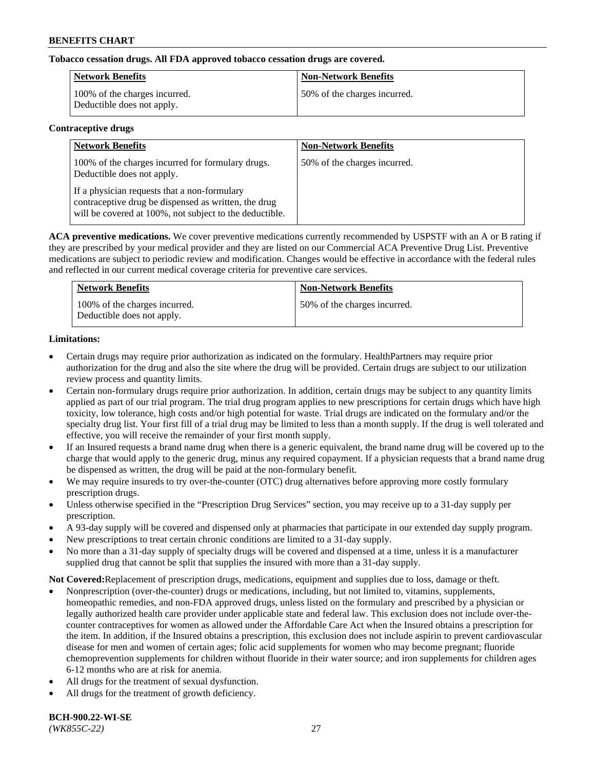## **Tobacco cessation drugs. All FDA approved tobacco cessation drugs are covered.**

| Network Benefits                                            | <b>Non-Network Benefits</b>  |
|-------------------------------------------------------------|------------------------------|
| 100% of the charges incurred.<br>Deductible does not apply. | 50% of the charges incurred. |

#### **Contraceptive drugs**

| <b>Network Benefits</b>                                                                                                                                         | <b>Non-Network Benefits</b>  |
|-----------------------------------------------------------------------------------------------------------------------------------------------------------------|------------------------------|
| 100% of the charges incurred for formulary drugs.<br>Deductible does not apply.                                                                                 | 50% of the charges incurred. |
| If a physician requests that a non-formulary<br>contraceptive drug be dispensed as written, the drug<br>will be covered at 100%, not subject to the deductible. |                              |

**ACA preventive medications.** We cover preventive medications currently recommended by USPSTF with an A or B rating if they are prescribed by your medical provider and they are listed on our Commercial ACA Preventive Drug List. Preventive medications are subject to periodic review and modification. Changes would be effective in accordance with the federal rules and reflected in our current medical coverage criteria for preventive care services.

| <b>Network Benefits</b>                                     | <b>Non-Network Benefits</b>  |
|-------------------------------------------------------------|------------------------------|
| 100% of the charges incurred.<br>Deductible does not apply. | 50% of the charges incurred. |

## **Limitations:**

- Certain drugs may require prior authorization as indicated on the formulary. HealthPartners may require prior authorization for the drug and also the site where the drug will be provided. Certain drugs are subject to our utilization review process and quantity limits.
- Certain non-formulary drugs require prior authorization. In addition, certain drugs may be subject to any quantity limits applied as part of our trial program. The trial drug program applies to new prescriptions for certain drugs which have high toxicity, low tolerance, high costs and/or high potential for waste. Trial drugs are indicated on the formulary and/or the specialty drug list. Your first fill of a trial drug may be limited to less than a month supply. If the drug is well tolerated and effective, you will receive the remainder of your first month supply.
- If an Insured requests a brand name drug when there is a generic equivalent, the brand name drug will be covered up to the charge that would apply to the generic drug, minus any required copayment. If a physician requests that a brand name drug be dispensed as written, the drug will be paid at the non-formulary benefit.
- We may require insureds to try over-the-counter (OTC) drug alternatives before approving more costly formulary prescription drugs.
- Unless otherwise specified in the "Prescription Drug Services" section, you may receive up to a 31-day supply per prescription.
- A 93-day supply will be covered and dispensed only at pharmacies that participate in our extended day supply program.
- New prescriptions to treat certain chronic conditions are limited to a 31-day supply.
- No more than a 31-day supply of specialty drugs will be covered and dispensed at a time, unless it is a manufacturer supplied drug that cannot be split that supplies the insured with more than a 31-day supply.

**Not Covered:**Replacement of prescription drugs, medications, equipment and supplies due to loss, damage or theft.

- Nonprescription (over-the-counter) drugs or medications, including, but not limited to, vitamins, supplements, homeopathic remedies, and non-FDA approved drugs, unless listed on the formulary and prescribed by a physician or legally authorized health care provider under applicable state and federal law. This exclusion does not include over-thecounter contraceptives for women as allowed under the Affordable Care Act when the Insured obtains a prescription for the item. In addition, if the Insured obtains a prescription, this exclusion does not include aspirin to prevent cardiovascular disease for men and women of certain ages; folic acid supplements for women who may become pregnant; fluoride chemoprevention supplements for children without fluoride in their water source; and iron supplements for children ages 6-12 months who are at risk for anemia.
- All drugs for the treatment of sexual dysfunction.
- All drugs for the treatment of growth deficiency.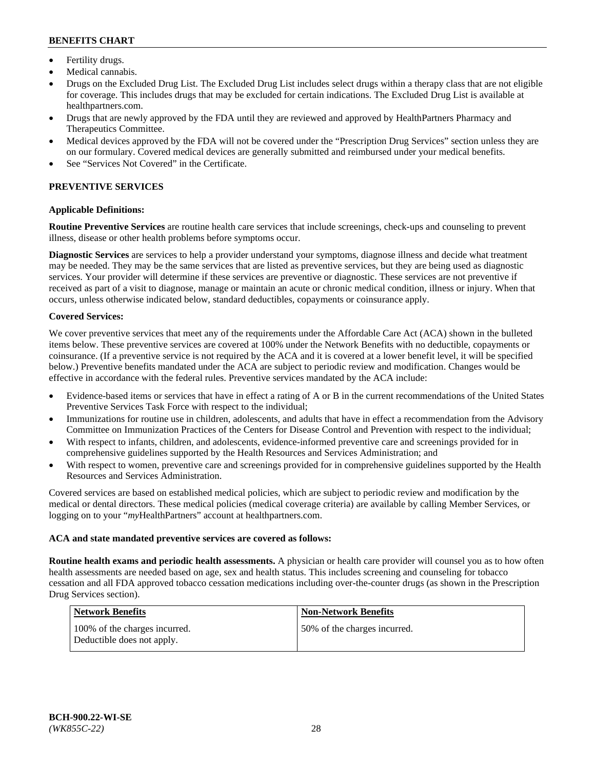- Fertility drugs.
- Medical cannabis.
- Drugs on the Excluded Drug List. The Excluded Drug List includes select drugs within a therapy class that are not eligible for coverage. This includes drugs that may be excluded for certain indications. The Excluded Drug List is available at [healthpartners.com.](http://www.healthpartners.com/)
- Drugs that are newly approved by the FDA until they are reviewed and approved by HealthPartners Pharmacy and Therapeutics Committee.
- Medical devices approved by the FDA will not be covered under the "Prescription Drug Services" section unless they are on our formulary. Covered medical devices are generally submitted and reimbursed under your medical benefits.
- See "Services Not Covered" in the Certificate.

# **PREVENTIVE SERVICES**

## **Applicable Definitions:**

**Routine Preventive Services** are routine health care services that include screenings, check-ups and counseling to prevent illness, disease or other health problems before symptoms occur.

**Diagnostic Services** are services to help a provider understand your symptoms, diagnose illness and decide what treatment may be needed. They may be the same services that are listed as preventive services, but they are being used as diagnostic services. Your provider will determine if these services are preventive or diagnostic. These services are not preventive if received as part of a visit to diagnose, manage or maintain an acute or chronic medical condition, illness or injury. When that occurs, unless otherwise indicated below, standard deductibles, copayments or coinsurance apply.

#### **Covered Services:**

We cover preventive services that meet any of the requirements under the Affordable Care Act (ACA) shown in the bulleted items below. These preventive services are covered at 100% under the Network Benefits with no deductible, copayments or coinsurance. (If a preventive service is not required by the ACA and it is covered at a lower benefit level, it will be specified below.) Preventive benefits mandated under the ACA are subject to periodic review and modification. Changes would be effective in accordance with the federal rules. Preventive services mandated by the ACA include:

- Evidence-based items or services that have in effect a rating of A or B in the current recommendations of the United States Preventive Services Task Force with respect to the individual;
- Immunizations for routine use in children, adolescents, and adults that have in effect a recommendation from the Advisory Committee on Immunization Practices of the Centers for Disease Control and Prevention with respect to the individual;
- With respect to infants, children, and adolescents, evidence-informed preventive care and screenings provided for in comprehensive guidelines supported by the Health Resources and Services Administration; and
- With respect to women, preventive care and screenings provided for in comprehensive guidelines supported by the Health Resources and Services Administration.

Covered services are based on established medical policies, which are subject to periodic review and modification by the medical or dental directors. These medical policies (medical coverage criteria) are available by calling Member Services, or logging on to your "*my*HealthPartners" account at [healthpartners.com.](https://www.healthpartners.com/hp/index.html)

## **ACA and state mandated preventive services are covered as follows:**

**Routine health exams and periodic health assessments.** A physician or health care provider will counsel you as to how often health assessments are needed based on age, sex and health status. This includes screening and counseling for tobacco cessation and all FDA approved tobacco cessation medications including over-the-counter drugs (as shown in the Prescription Drug Services section).

| <b>Network Benefits</b>                                     | <b>Non-Network Benefits</b>  |
|-------------------------------------------------------------|------------------------------|
| 100% of the charges incurred.<br>Deductible does not apply. | 50% of the charges incurred. |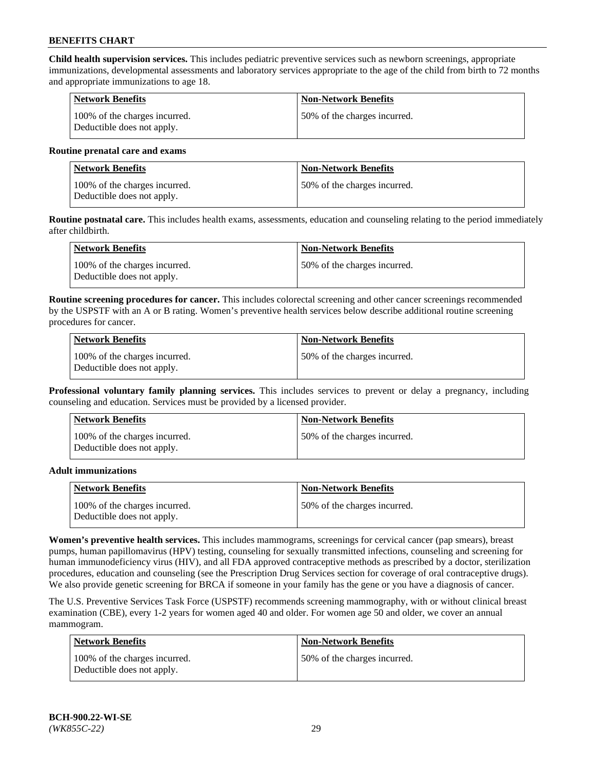**Child health supervision services.** This includes pediatric preventive services such as newborn screenings, appropriate immunizations, developmental assessments and laboratory services appropriate to the age of the child from birth to 72 months and appropriate immunizations to age 18.

| Network Benefits                                            | <b>Non-Network Benefits</b>  |
|-------------------------------------------------------------|------------------------------|
| 100% of the charges incurred.<br>Deductible does not apply. | 50% of the charges incurred. |

#### **Routine prenatal care and exams**

| Network Benefits                                            | <b>Non-Network Benefits</b>  |
|-------------------------------------------------------------|------------------------------|
| 100% of the charges incurred.<br>Deductible does not apply. | 50% of the charges incurred. |

**Routine postnatal care.** This includes health exams, assessments, education and counseling relating to the period immediately after childbirth.

| Network Benefits                                            | <b>Non-Network Benefits</b>  |
|-------------------------------------------------------------|------------------------------|
| 100% of the charges incurred.<br>Deductible does not apply. | 50% of the charges incurred. |

**Routine screening procedures for cancer.** This includes colorectal screening and other cancer screenings recommended by the USPSTF with an A or B rating. Women's preventive health services below describe additional routine screening procedures for cancer.

| <b>Network Benefits</b>                                     | <b>Non-Network Benefits</b>  |
|-------------------------------------------------------------|------------------------------|
| 100% of the charges incurred.<br>Deductible does not apply. | 50% of the charges incurred. |

**Professional voluntary family planning services.** This includes services to prevent or delay a pregnancy, including counseling and education. Services must be provided by a licensed provider.

| <b>Network Benefits</b>                                     | <b>Non-Network Benefits</b>  |
|-------------------------------------------------------------|------------------------------|
| 100% of the charges incurred.<br>Deductible does not apply. | 50% of the charges incurred. |

#### **Adult immunizations**

| <b>Network Benefits</b>                                     | <b>Non-Network Benefits</b>  |
|-------------------------------------------------------------|------------------------------|
| 100% of the charges incurred.<br>Deductible does not apply. | 50% of the charges incurred. |

**Women's preventive health services.** This includes mammograms, screenings for cervical cancer (pap smears), breast pumps, human papillomavirus (HPV) testing, counseling for sexually transmitted infections, counseling and screening for human immunodeficiency virus (HIV), and all FDA approved contraceptive methods as prescribed by a doctor, sterilization procedures, education and counseling (see the Prescription Drug Services section for coverage of oral contraceptive drugs). We also provide genetic screening for BRCA if someone in your family has the gene or you have a diagnosis of cancer.

The U.S. Preventive Services Task Force (USPSTF) recommends screening mammography, with or without clinical breast examination (CBE), every 1-2 years for women aged 40 and older. For women age 50 and older, we cover an annual mammogram.

| <b>Network Benefits</b>                                     | <b>Non-Network Benefits</b>   |
|-------------------------------------------------------------|-------------------------------|
| 100% of the charges incurred.<br>Deductible does not apply. | 150% of the charges incurred. |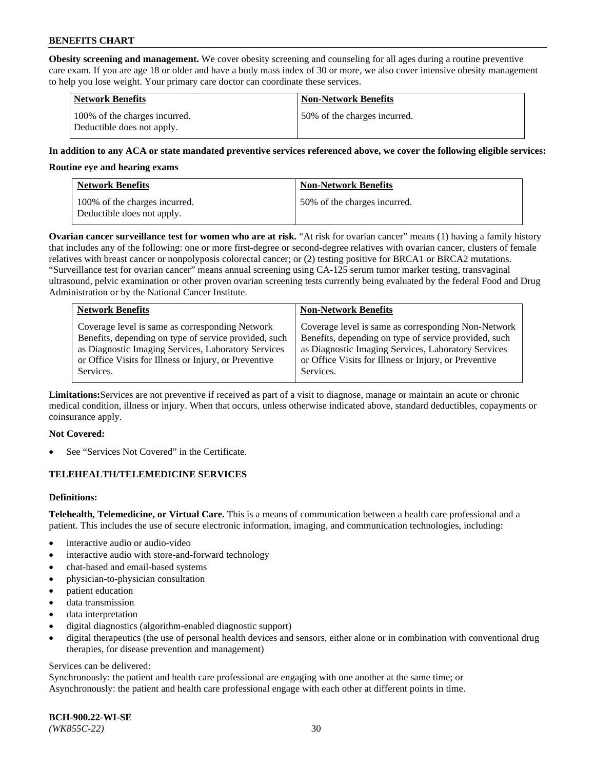**Obesity screening and management.** We cover obesity screening and counseling for all ages during a routine preventive care exam. If you are age 18 or older and have a body mass index of 30 or more, we also cover intensive obesity management to help you lose weight. Your primary care doctor can coordinate these services.

| <b>Network Benefits</b>                                     | <b>Non-Network Benefits</b>  |
|-------------------------------------------------------------|------------------------------|
| 100% of the charges incurred.<br>Deductible does not apply. | 50% of the charges incurred. |

#### **In addition to any ACA or state mandated preventive services referenced above, we cover the following eligible services:**

#### **Routine eye and hearing exams**

| <b>Network Benefits</b>                                     | <b>Non-Network Benefits</b>  |
|-------------------------------------------------------------|------------------------------|
| 100% of the charges incurred.<br>Deductible does not apply. | 50% of the charges incurred. |

**Ovarian cancer surveillance test for women who are at risk.** "At risk for ovarian cancer" means (1) having a family history that includes any of the following: one or more first-degree or second-degree relatives with ovarian cancer, clusters of female relatives with breast cancer or nonpolyposis colorectal cancer; or (2) testing positive for BRCA1 or BRCA2 mutations. "Surveillance test for ovarian cancer" means annual screening using CA-125 serum tumor marker testing, transvaginal ultrasound, pelvic examination or other proven ovarian screening tests currently being evaluated by the federal Food and Drug Administration or by the National Cancer Institute.

| <b>Network Benefits</b>                               | <b>Non-Network Benefits</b>                           |
|-------------------------------------------------------|-------------------------------------------------------|
| Coverage level is same as corresponding Network       | Coverage level is same as corresponding Non-Network   |
| Benefits, depending on type of service provided, such | Benefits, depending on type of service provided, such |
| as Diagnostic Imaging Services, Laboratory Services   | as Diagnostic Imaging Services, Laboratory Services   |
| or Office Visits for Illness or Injury, or Preventive | or Office Visits for Illness or Injury, or Preventive |
| Services.                                             | Services.                                             |

**Limitations:**Services are not preventive if received as part of a visit to diagnose, manage or maintain an acute or chronic medical condition, illness or injury. When that occurs, unless otherwise indicated above, standard deductibles, copayments or coinsurance apply.

#### **Not Covered:**

See "Services Not Covered" in the Certificate.

## **TELEHEALTH/TELEMEDICINE SERVICES**

## **Definitions:**

**Telehealth, Telemedicine, or Virtual Care.** This is a means of communication between a health care professional and a patient. This includes the use of secure electronic information, imaging, and communication technologies, including:

- interactive audio or audio-video
- interactive audio with store-and-forward technology
- chat-based and email-based systems
- physician-to-physician consultation
- patient education
- data transmission
- data interpretation
- digital diagnostics (algorithm-enabled diagnostic support)
- digital therapeutics (the use of personal health devices and sensors, either alone or in combination with conventional drug therapies, for disease prevention and management)

#### Services can be delivered:

Synchronously: the patient and health care professional are engaging with one another at the same time; or Asynchronously: the patient and health care professional engage with each other at different points in time.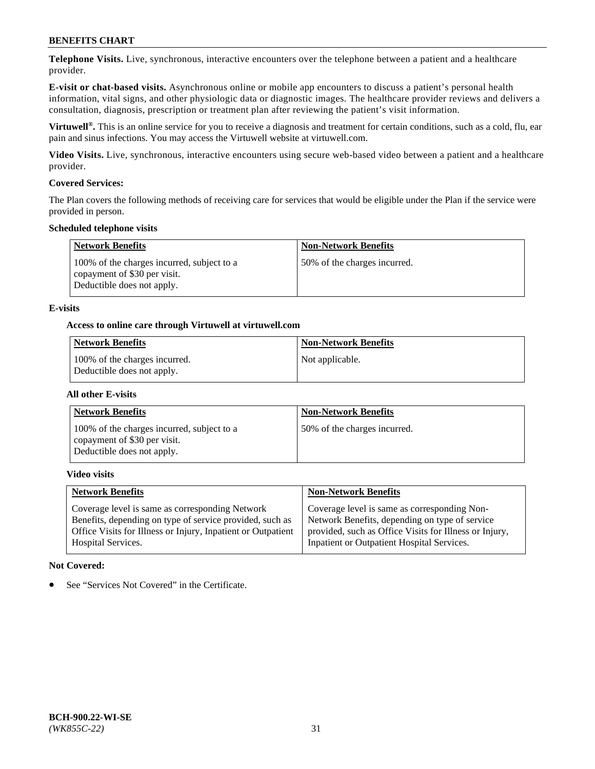**Telephone Visits.** Live, synchronous, interactive encounters over the telephone between a patient and a healthcare provider.

**E-visit or chat-based visits.** Asynchronous online or mobile app encounters to discuss a patient's personal health information, vital signs, and other physiologic data or diagnostic images. The healthcare provider reviews and delivers a consultation, diagnosis, prescription or treatment plan after reviewing the patient's visit information.

**Virtuwell®.** This is an online service for you to receive a diagnosis and treatment for certain conditions, such as a cold, flu, ear pain and sinus infections. You may access the Virtuwell website at [virtuwell.com.](https://www.virtuwell.com/)

**Video Visits.** Live, synchronous, interactive encounters using secure web-based video between a patient and a healthcare provider.

#### **Covered Services:**

The Plan covers the following methods of receiving care for services that would be eligible under the Plan if the service were provided in person.

#### **Scheduled telephone visits**

| <b>Network Benefits</b>                                                                                  | <b>Non-Network Benefits</b>  |
|----------------------------------------------------------------------------------------------------------|------------------------------|
| 100% of the charges incurred, subject to a<br>copayment of \$30 per visit.<br>Deductible does not apply. | 50% of the charges incurred. |

#### **E-visits**

#### **Access to online care through Virtuwell at [virtuwell.com](https://www.virtuwell.com/)**

| Network Benefits                                            | <b>Non-Network Benefits</b> |
|-------------------------------------------------------------|-----------------------------|
| 100% of the charges incurred.<br>Deductible does not apply. | Not applicable.             |

#### **All other E-visits**

| <b>Network Benefits</b>                                                                                  | <b>Non-Network Benefits</b>  |
|----------------------------------------------------------------------------------------------------------|------------------------------|
| 100% of the charges incurred, subject to a<br>copayment of \$30 per visit.<br>Deductible does not apply. | 50% of the charges incurred. |

#### **Video visits**

| <b>Network Benefits</b>                                      | <b>Non-Network Benefits</b>                            |
|--------------------------------------------------------------|--------------------------------------------------------|
| Coverage level is same as corresponding Network              | Coverage level is same as corresponding Non-           |
| Benefits, depending on type of service provided, such as     | Network Benefits, depending on type of service         |
| Office Visits for Illness or Injury, Inpatient or Outpatient | provided, such as Office Visits for Illness or Injury, |
| <b>Hospital Services.</b>                                    | Inpatient or Outpatient Hospital Services.             |

#### **Not Covered:**

See "Services Not Covered" in the Certificate.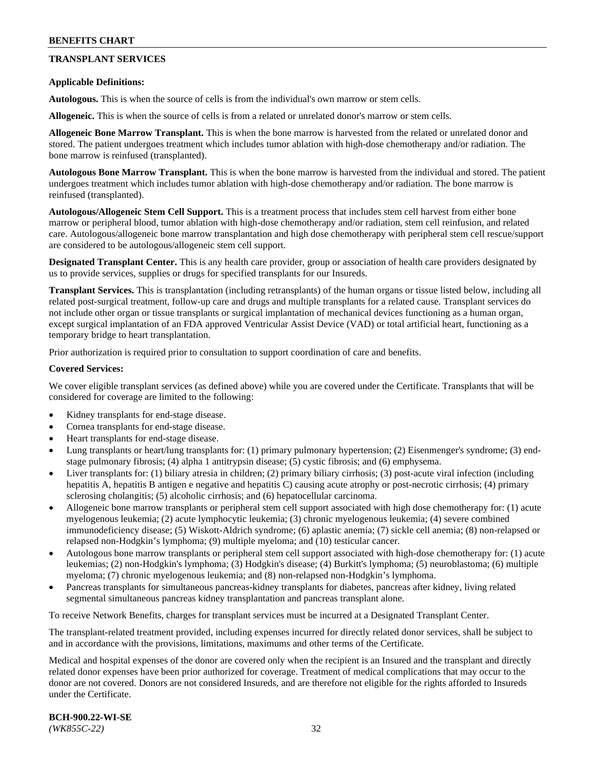## **TRANSPLANT SERVICES**

#### **Applicable Definitions:**

**Autologous.** This is when the source of cells is from the individual's own marrow or stem cells.

**Allogeneic.** This is when the source of cells is from a related or unrelated donor's marrow or stem cells.

**Allogeneic Bone Marrow Transplant.** This is when the bone marrow is harvested from the related or unrelated donor and stored. The patient undergoes treatment which includes tumor ablation with high-dose chemotherapy and/or radiation. The bone marrow is reinfused (transplanted).

**Autologous Bone Marrow Transplant.** This is when the bone marrow is harvested from the individual and stored. The patient undergoes treatment which includes tumor ablation with high-dose chemotherapy and/or radiation. The bone marrow is reinfused (transplanted).

**Autologous/Allogeneic Stem Cell Support.** This is a treatment process that includes stem cell harvest from either bone marrow or peripheral blood, tumor ablation with high-dose chemotherapy and/or radiation, stem cell reinfusion, and related care. Autologous/allogeneic bone marrow transplantation and high dose chemotherapy with peripheral stem cell rescue/support are considered to be autologous/allogeneic stem cell support.

**Designated Transplant Center.** This is any health care provider, group or association of health care providers designated by us to provide services, supplies or drugs for specified transplants for our Insureds.

**Transplant Services.** This is transplantation (including retransplants) of the human organs or tissue listed below, including all related post-surgical treatment, follow-up care and drugs and multiple transplants for a related cause. Transplant services do not include other organ or tissue transplants or surgical implantation of mechanical devices functioning as a human organ, except surgical implantation of an FDA approved Ventricular Assist Device (VAD) or total artificial heart, functioning as a temporary bridge to heart transplantation.

Prior authorization is required prior to consultation to support coordination of care and benefits.

#### **Covered Services:**

We cover eligible transplant services (as defined above) while you are covered under the Certificate. Transplants that will be considered for coverage are limited to the following:

- Kidney transplants for end-stage disease.
- Cornea transplants for end-stage disease.
- Heart transplants for end-stage disease.
- Lung transplants or heart/lung transplants for: (1) primary pulmonary hypertension; (2) Eisenmenger's syndrome; (3) endstage pulmonary fibrosis; (4) alpha 1 antitrypsin disease; (5) cystic fibrosis; and (6) emphysema.
- Liver transplants for: (1) biliary atresia in children; (2) primary biliary cirrhosis; (3) post-acute viral infection (including hepatitis A, hepatitis B antigen e negative and hepatitis C) causing acute atrophy or post-necrotic cirrhosis; (4) primary sclerosing cholangitis; (5) alcoholic cirrhosis; and (6) hepatocellular carcinoma.
- Allogeneic bone marrow transplants or peripheral stem cell support associated with high dose chemotherapy for: (1) acute myelogenous leukemia; (2) acute lymphocytic leukemia; (3) chronic myelogenous leukemia; (4) severe combined immunodeficiency disease; (5) Wiskott-Aldrich syndrome; (6) aplastic anemia; (7) sickle cell anemia; (8) non-relapsed or relapsed non-Hodgkin's lymphoma; (9) multiple myeloma; and (10) testicular cancer.
- Autologous bone marrow transplants or peripheral stem cell support associated with high-dose chemotherapy for: (1) acute leukemias; (2) non-Hodgkin's lymphoma; (3) Hodgkin's disease; (4) Burkitt's lymphoma; (5) neuroblastoma; (6) multiple myeloma; (7) chronic myelogenous leukemia; and (8) non-relapsed non-Hodgkin's lymphoma.
- Pancreas transplants for simultaneous pancreas-kidney transplants for diabetes, pancreas after kidney, living related segmental simultaneous pancreas kidney transplantation and pancreas transplant alone.

To receive Network Benefits, charges for transplant services must be incurred at a Designated Transplant Center.

The transplant-related treatment provided, including expenses incurred for directly related donor services, shall be subject to and in accordance with the provisions, limitations, maximums and other terms of the Certificate.

Medical and hospital expenses of the donor are covered only when the recipient is an Insured and the transplant and directly related donor expenses have been prior authorized for coverage. Treatment of medical complications that may occur to the donor are not covered. Donors are not considered Insureds, and are therefore not eligible for the rights afforded to Insureds under the Certificate.